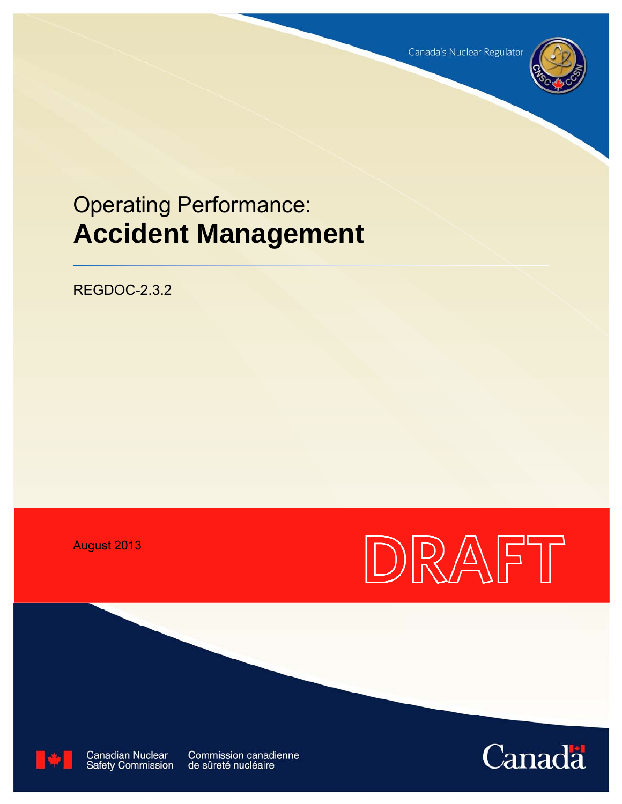

# Operating Performance: **Accident Management**

REGDOC-2.3.2

August 2013





**Canadian Nuclear Safety Commission**  Commission canadienne de sûreté nucléaire

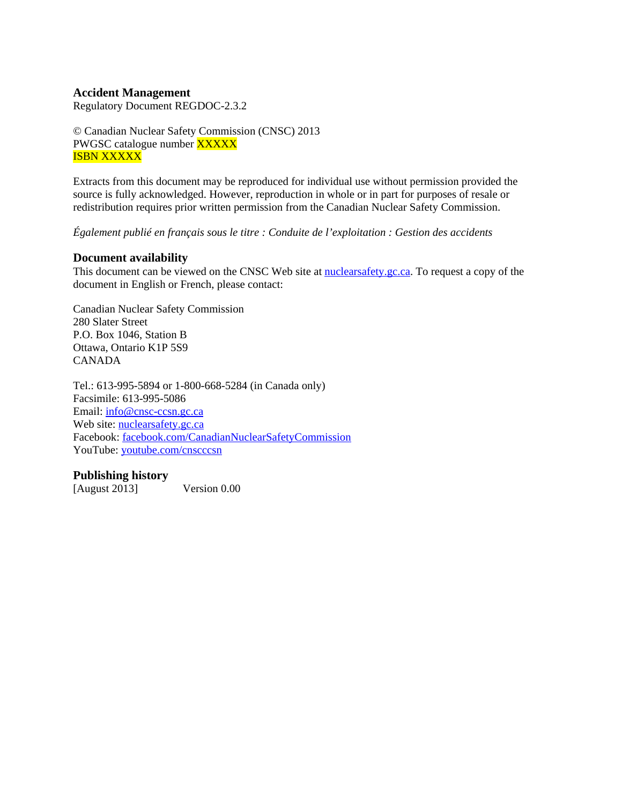# **Accident Management**

Regulatory Document REGDOC-2.3.2

© Canadian Nuclear Safety Commission (CNSC) 2013 PWGSC catalogue number **XXXXX** ISBN XXXXX

Extracts from this document may be reproduced for individual use without permission provided the source is fully acknowledged. However, reproduction in whole or in part for purposes of resale or redistribution requires prior written permission from the Canadian Nuclear Safety Commission.

*Également publié en français sous le titre : Conduite de l'exploitation : Gestion des accidents* 

#### **Document availability**

This document can be viewed on the CNSC Web site at [nuclearsafety.gc.ca.](http://www.nuclearsafety.gc.ca/) To request a copy of the document in English or French, please contact:

Canadian Nuclear Safety Commission 280 Slater Street P.O. Box 1046, Station B Ottawa, Ontario K1P 5S9 CANADA

Tel.: 613-995-5894 or 1-800-668-5284 (in Canada only) Facsimile: 613-995-5086 Email: [info@cnsc-ccsn.gc.ca](mailto:info@cnsc-ccsn.gc.ca) Web site: [nuclearsafety.gc.ca](http://www.nuclearsafety.gc.ca/) Facebook: [facebook.com/CanadianNuclearSafetyCommission](http://www.facebook.com/CanadianNuclearSafetyCommission) YouTube: [youtube.com/cnscccsn](http://www.youtube.com/cnscccsn)

# **Publishing history**

[August 2013] Version 0.00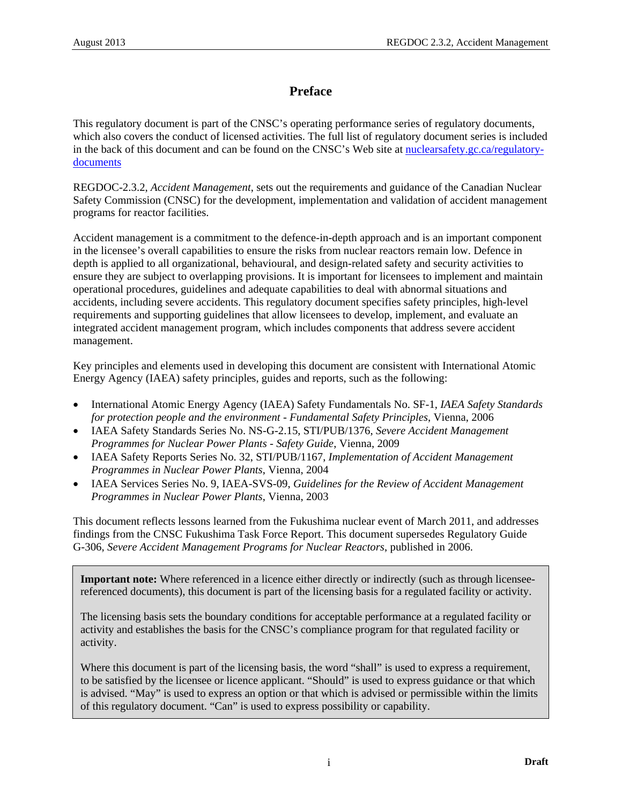# **Preface**

This regulatory document is part of the CNSC's operating performance series of regulatory documents, which also covers the conduct of licensed activities. The full list of regulatory document series is included in the back of this document and can be found on the CNSC's Web site at [nuclearsafety.gc.ca/regulatory](http://www.nuclearsafety.gc.ca/regulatory-documents)[documents](http://www.nuclearsafety.gc.ca/regulatory-documents)

REGDOC-2.3.2, *Accident Management*, sets out the requirements and guidance of the Canadian Nuclear Safety Commission (CNSC) for the development, implementation and validation of accident management programs for reactor facilities.

Accident management is a commitment to the defence-in-depth approach and is an important component in the licensee's overall capabilities to ensure the risks from nuclear reactors remain low. Defence in depth is applied to all organizational, behavioural, and design-related safety and security activities to ensure they are subject to overlapping provisions. It is important for licensees to implement and maintain operational procedures, guidelines and adequate capabilities to deal with abnormal situations and accidents, including severe accidents. This regulatory document specifies safety principles, high-level requirements and supporting guidelines that allow licensees to develop, implement, and evaluate an integrated accident management program, which includes components that address severe accident management.

Key principles and elements used in developing this document are consistent with International Atomic Energy Agency (IAEA) safety principles, guides and reports, such as the following:

- International Atomic Energy Agency (IAEA) Safety Fundamentals No. SF-1, *IAEA Safety Standards for protection people and the environment - Fundamental Safety Principles*, Vienna, 2006
- IAEA Safety Standards Series No. NS-G-2.15, STI/PUB/1376, *Severe Accident Management Programmes for Nuclear Power Plants - Safety Guide*, Vienna, 2009
- IAEA Safety Reports Series No. 32, STI/PUB/1167, *Implementation of Accident Management Programmes in Nuclear Power Plants*, Vienna, 2004
- IAEA Services Series No. 9, IAEA-SVS-09, *Guidelines for the Review of Accident Management Programmes in Nuclear Power Plants*, Vienna, 2003

This document reflects lessons learned from the Fukushima nuclear event of March 2011, and addresses findings from the CNSC Fukushima Task Force Report. This document supersedes Regulatory Guide G-306, *Severe Accident Management Programs for Nuclear Reactors*, published in 2006.

**Important note:** Where referenced in a licence either directly or indirectly (such as through licenseereferenced documents), this document is part of the licensing basis for a regulated facility or activity.

The licensing basis sets the boundary conditions for acceptable performance at a regulated facility or activity and establishes the basis for the CNSC's compliance program for that regulated facility or activity.

Where this document is part of the licensing basis, the word "shall" is used to express a requirement, to be satisfied by the licensee or licence applicant. "Should" is used to express guidance or that which is advised. "May" is used to express an option or that which is advised or permissible within the limits of this regulatory document. "Can" is used to express possibility or capability.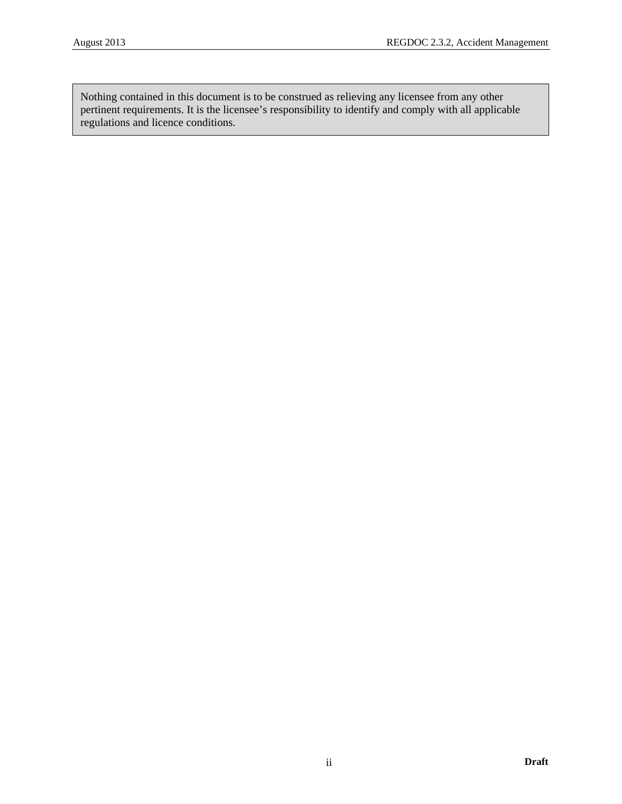Nothing contained in this document is to be construed as relieving any licensee from any other pertinent requirements. It is the licensee's responsibility to identify and comply with all applicable regulations and licence conditions.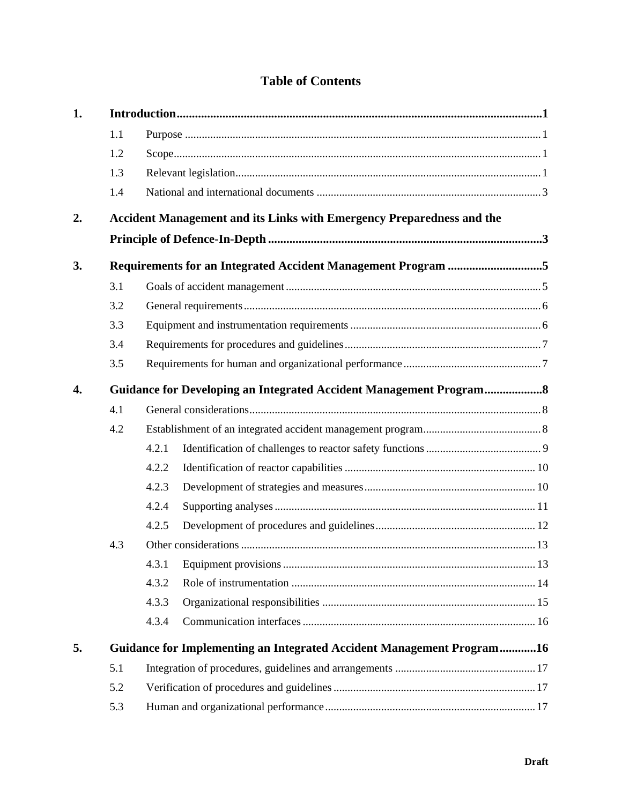# **Table of Contents**

| 1. |                                                                       |       |                                                                       |  |  |  |  |
|----|-----------------------------------------------------------------------|-------|-----------------------------------------------------------------------|--|--|--|--|
|    | 1.1                                                                   |       |                                                                       |  |  |  |  |
|    | 1.2                                                                   |       |                                                                       |  |  |  |  |
|    | 1.3                                                                   |       |                                                                       |  |  |  |  |
|    | 1.4                                                                   |       |                                                                       |  |  |  |  |
| 2. | Accident Management and its Links with Emergency Preparedness and the |       |                                                                       |  |  |  |  |
|    |                                                                       |       |                                                                       |  |  |  |  |
| 3. |                                                                       |       |                                                                       |  |  |  |  |
|    | 3.1                                                                   |       |                                                                       |  |  |  |  |
|    | 3.2                                                                   |       |                                                                       |  |  |  |  |
|    | 3.3                                                                   |       |                                                                       |  |  |  |  |
|    | 3.4                                                                   |       |                                                                       |  |  |  |  |
|    | 3.5                                                                   |       |                                                                       |  |  |  |  |
| 4. |                                                                       |       | Guidance for Developing an Integrated Accident Management Program     |  |  |  |  |
|    | 4.1                                                                   |       |                                                                       |  |  |  |  |
|    | 4.2                                                                   |       |                                                                       |  |  |  |  |
|    |                                                                       | 4.2.1 |                                                                       |  |  |  |  |
|    |                                                                       | 4.2.2 |                                                                       |  |  |  |  |
|    |                                                                       | 4.2.3 |                                                                       |  |  |  |  |
|    |                                                                       | 4.2.4 |                                                                       |  |  |  |  |
|    |                                                                       | 4.2.5 |                                                                       |  |  |  |  |
|    | 4.3                                                                   |       |                                                                       |  |  |  |  |
|    |                                                                       | 4.3.1 |                                                                       |  |  |  |  |
|    |                                                                       | 4.3.2 |                                                                       |  |  |  |  |
|    |                                                                       | 4.3.3 |                                                                       |  |  |  |  |
|    |                                                                       | 4.3.4 |                                                                       |  |  |  |  |
| 5. |                                                                       |       | Guidance for Implementing an Integrated Accident Management Program16 |  |  |  |  |
|    | 5.1                                                                   |       |                                                                       |  |  |  |  |
|    | 5.2                                                                   |       |                                                                       |  |  |  |  |
|    | 5.3                                                                   |       |                                                                       |  |  |  |  |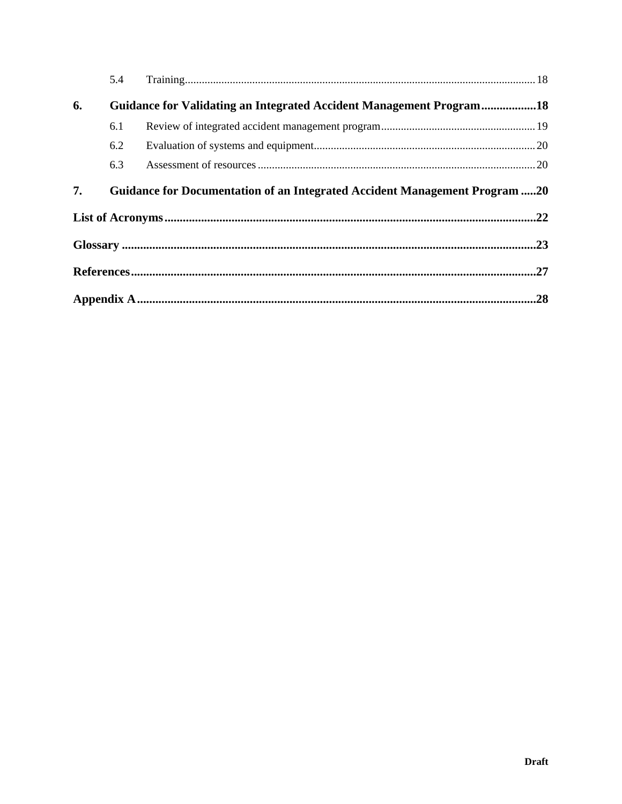|    | 5.4                                                                               |                                                                     |  |  |
|----|-----------------------------------------------------------------------------------|---------------------------------------------------------------------|--|--|
| 6. |                                                                                   | Guidance for Validating an Integrated Accident Management Program18 |  |  |
|    | 6.1                                                                               |                                                                     |  |  |
|    | 6.2                                                                               |                                                                     |  |  |
|    | 6.3                                                                               |                                                                     |  |  |
| 7. | <b>Guidance for Documentation of an Integrated Accident Management Program 20</b> |                                                                     |  |  |
|    |                                                                                   |                                                                     |  |  |
|    |                                                                                   |                                                                     |  |  |
|    |                                                                                   |                                                                     |  |  |
|    |                                                                                   |                                                                     |  |  |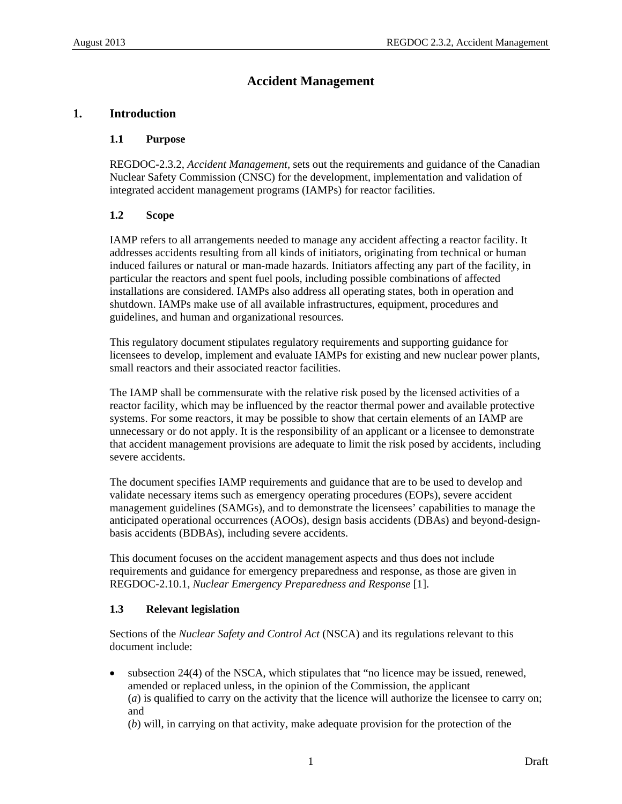# **Accident Management**

# <span id="page-6-0"></span>**1. Introduction**

# **1.1 Purpose**

REGDOC-2.3.2, *Accident Management,* sets out the requirements and guidance of the Canadian Nuclear Safety Commission (CNSC) for the development, implementation and validation of integrated accident management programs (IAMPs) for reactor facilities.

# **1.2 Scope**

IAMP refers to all arrangements needed to manage any accident affecting a reactor facility. It addresses accidents resulting from all kinds of initiators, originating from technical or human induced failures or natural or man-made hazards. Initiators affecting any part of the facility, in particular the reactors and spent fuel pools, including possible combinations of affected installations are considered. IAMPs also address all operating states, both in operation and shutdown. IAMPs make use of all available infrastructures, equipment, procedures and guidelines, and human and organizational resources.

This regulatory document stipulates regulatory requirements and supporting guidance for licensees to develop, implement and evaluate IAMPs for existing and new nuclear power plants, small reactors and their associated reactor facilities.

The IAMP shall be commensurate with the relative risk posed by the licensed activities of a reactor facility, which may be influenced by the reactor thermal power and available protective systems. For some reactors, it may be possible to show that certain elements of an IAMP are unnecessary or do not apply. It is the responsibility of an applicant or a licensee to demonstrate that accident management provisions are adequate to limit the risk posed by accidents, including severe accidents.

The document specifies IAMP requirements and guidance that are to be used to develop and validate necessary items such as emergency operating procedures (EOPs), severe accident management guidelines (SAMGs), and to demonstrate the licensees' capabilities to manage the anticipated operational occurrences (AOOs), design basis accidents (DBAs) and beyond-designbasis accidents (BDBAs), including severe accidents.

This document focuses on the accident management aspects and thus does not include requirements and guidance for emergency preparedness and response, as those are given in REGDOC-2.10.1, *Nuclear Emergency Preparedness and Response* [1].

# **1.3 Relevant legislation**

Sections of the *Nuclear Safety and Control Act* (NSCA) and its regulations relevant to this document include:

• subsection 24(4) of the NSCA, which stipulates that "no licence may be issued, renewed, amended or replaced unless, in the opinion of the Commission, the applicant (*a*) is qualified to carry on the activity that the licence will authorize the licensee to carry on; and

(*b*) will, in carrying on that activity, make adequate provision for the protection of the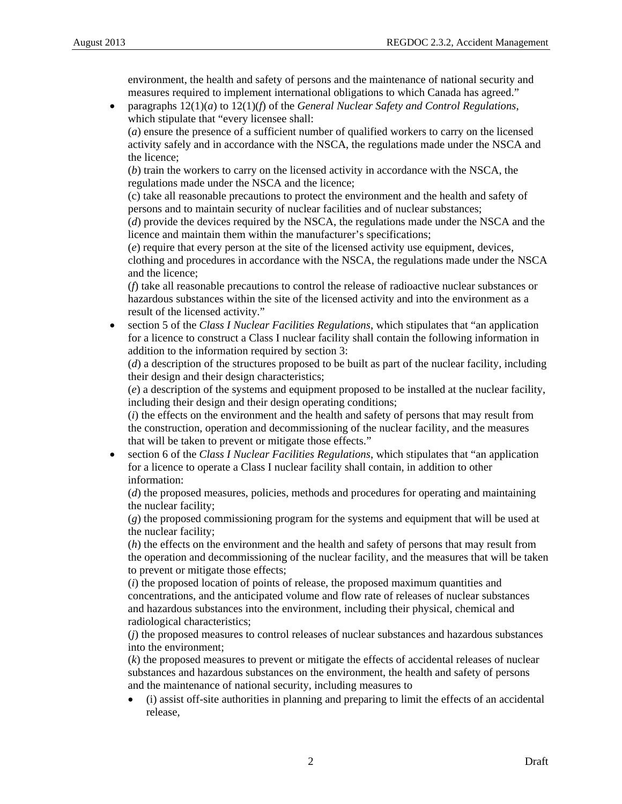environment, the health and safety of persons and the maintenance of national security and measures required to implement international obligations to which Canada has agreed."

• paragraphs 12(1)(*a*) to 12(1)(*f*) of the *General Nuclear Safety and Control Regulations*, which stipulate that "every licensee shall:

(*a*) ensure the presence of a sufficient number of qualified workers to carry on the licensed activity safely and in accordance with the NSCA, the regulations made under the NSCA and the licence;

(*b*) train the workers to carry on the licensed activity in accordance with the NSCA, the regulations made under the NSCA and the licence;

(c) take all reasonable precautions to protect the environment and the health and safety of persons and to maintain security of nuclear facilities and of nuclear substances;

(*d*) provide the devices required by the NSCA, the regulations made under the NSCA and the licence and maintain them within the manufacturer's specifications;

(*e*) require that every person at the site of the licensed activity use equipment, devices, clothing and procedures in accordance with the NSCA, the regulations made under the NSCA and the licence;

(*f*) take all reasonable precautions to control the release of radioactive nuclear substances or hazardous substances within the site of the licensed activity and into the environment as a result of the licensed activity."

• section 5 of the *Class I Nuclear Facilities Regulations*, which stipulates that "an application for a licence to construct a Class I nuclear facility shall contain the following information in addition to the information required by section 3:

(*d*) a description of the structures proposed to be built as part of the nuclear facility, including their design and their design characteristics;

(*e*) a description of the systems and equipment proposed to be installed at the nuclear facility, including their design and their design operating conditions;

(*i*) the effects on the environment and the health and safety of persons that may result from the construction, operation and decommissioning of the nuclear facility, and the measures that will be taken to prevent or mitigate those effects."

• section 6 of the *Class I Nuclear Facilities Regulations*, which stipulates that "an application for a licence to operate a Class I nuclear facility shall contain, in addition to other information:

(*d*) the proposed measures, policies, methods and procedures for operating and maintaining the nuclear facility;

(*g*) the proposed commissioning program for the systems and equipment that will be used at the nuclear facility;

(*h*) the effects on the environment and the health and safety of persons that may result from the operation and decommissioning of the nuclear facility, and the measures that will be taken to prevent or mitigate those effects;

(*i*) the proposed location of points of release, the proposed maximum quantities and concentrations, and the anticipated volume and flow rate of releases of nuclear substances and hazardous substances into the environment, including their physical, chemical and radiological characteristics;

(*j*) the proposed measures to control releases of nuclear substances and hazardous substances into the environment;

(*k*) the proposed measures to prevent or mitigate the effects of accidental releases of nuclear substances and hazardous substances on the environment, the health and safety of persons and the maintenance of national security, including measures to

• (i) assist off-site authorities in planning and preparing to limit the effects of an accidental release,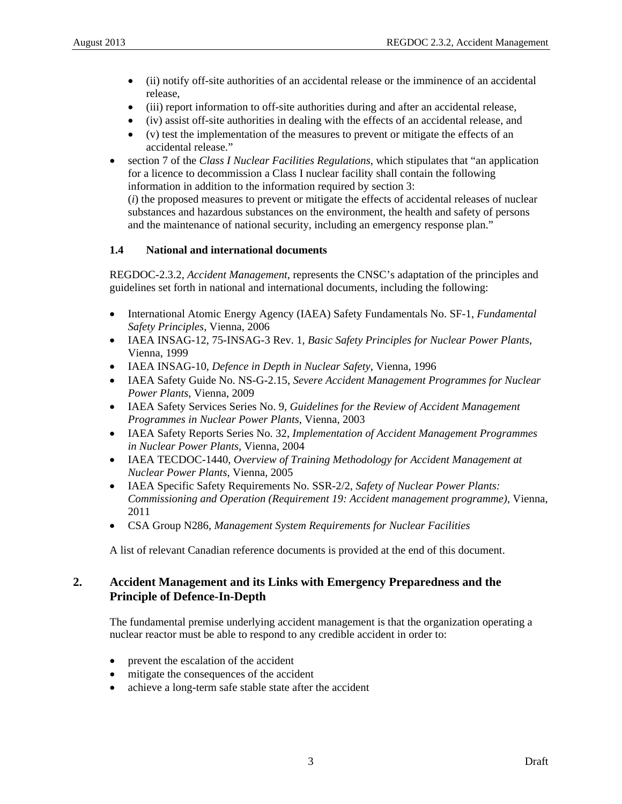- <span id="page-8-0"></span>• (ii) notify off-site authorities of an accidental release or the imminence of an accidental release,
- (iii) report information to off-site authorities during and after an accidental release,
- (iv) assist off-site authorities in dealing with the effects of an accidental release, and
- (v) test the implementation of the measures to prevent or mitigate the effects of an accidental release."
- section 7 of the *Class I Nuclear Facilities Regulations*, which stipulates that "an application for a licence to decommission a Class I nuclear facility shall contain the following information in addition to the information required by section 3:

(*i*) the proposed measures to prevent or mitigate the effects of accidental releases of nuclear substances and hazardous substances on the environment, the health and safety of persons and the maintenance of national security, including an emergency response plan."

# **1.4 National and international documents**

REGDOC-2.3.2, *Accident Management*, represents the CNSC's adaptation of the principles and guidelines set forth in national and international documents, including the following:

- International Atomic Energy Agency (IAEA) Safety Fundamentals No. SF-1, *Fundamental Safety Principles*, Vienna, 2006
- IAEA INSAG-12, 75-INSAG-3 Rev. 1, *Basic Safety Principles for Nuclear Power Plants*, Vienna, 1999
- IAEA INSAG-10, *Defence in Depth in Nuclear Safety*, Vienna, 1996
- IAEA Safety Guide No. NS-G-2.15, *Severe Accident Management Programmes for Nuclear Power Plants*, Vienna, 2009
- IAEA Safety Services Series No. 9, *Guidelines for the Review of Accident Management Programmes in Nuclear Power Plants*, Vienna, 2003
- IAEA Safety Reports Series No. 32, *Implementation of Accident Management Programmes in Nuclear Power Plants*, Vienna, 2004
- IAEA TECDOC-1440, *Overview of Training Methodology for Accident Management at Nuclear Power Plants*, Vienna, 2005
- IAEA Specific Safety Requirements No. SSR-2/2, *Safety of Nuclear Power Plants: Commissioning and Operation (Requirement 19: Accident management programme),* Vienna, 2011
- CSA Group N286, *Management System Requirements for Nuclear Facilities*

A list of relevant Canadian reference documents is provided at the end of this document.

# **2. Accident Management and its Links with Emergency Preparedness and the Principle of Defence-In-Depth**

The fundamental premise underlying accident management is that the organization operating a nuclear reactor must be able to respond to any credible accident in order to:

- prevent the escalation of the accident
- mitigate the consequences of the accident
- achieve a long-term safe stable state after the accident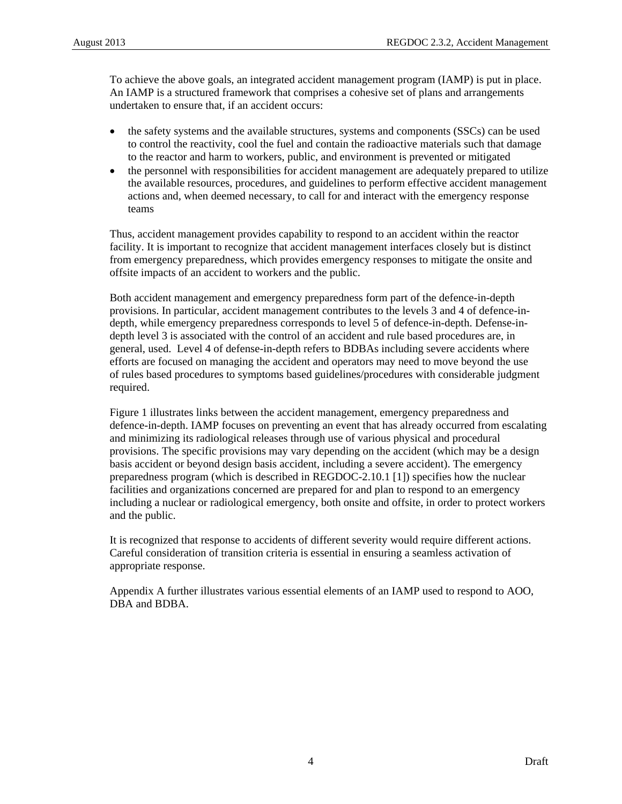To achieve the above goals, an integrated accident management program (IAMP) is put in place. An IAMP is a structured framework that comprises a cohesive set of plans and arrangements undertaken to ensure that, if an accident occurs:

- the safety systems and the available structures, systems and components (SSCs) can be used to control the reactivity, cool the fuel and contain the radioactive materials such that damage to the reactor and harm to workers, public, and environment is prevented or mitigated
- the personnel with responsibilities for accident management are adequately prepared to utilize the available resources, procedures, and guidelines to perform effective accident management actions and, when deemed necessary, to call for and interact with the emergency response teams

Thus, accident management provides capability to respond to an accident within the reactor facility. It is important to recognize that accident management interfaces closely but is distinct from emergency preparedness, which provides emergency responses to mitigate the onsite and offsite impacts of an accident to workers and the public.

Both accident management and emergency preparedness form part of the defence-in-depth provisions. In particular, accident management contributes to the levels 3 and 4 of defence-indepth, while emergency preparedness corresponds to level 5 of defence-in-depth. Defense-indepth level 3 is associated with the control of an accident and rule based procedures are, in general, used. Level 4 of defense-in-depth refers to BDBAs including severe accidents where efforts are focused on managing the accident and operators may need to move beyond the use of rules based procedures to symptoms based guidelines/procedures with considerable judgment required.

Figure 1 illustrates links between the accident management, emergency preparedness and defence-in-depth. IAMP focuses on preventing an event that has already occurred from escalating and minimizing its radiological releases through use of various physical and procedural provisions. The specific provisions may vary depending on the accident (which may be a design basis accident or beyond design basis accident, including a severe accident). The emergency preparedness program (which is described in REGDOC-2.10.1 [1]) specifies how the nuclear facilities and organizations concerned are prepared for and plan to respond to an emergency including a nuclear or radiological emergency, both onsite and offsite, in order to protect workers and the public.

It is recognized that response to accidents of different severity would require different actions. Careful consideration of transition criteria is essential in ensuring a seamless activation of appropriate response.

Appendix A further illustrates various essential elements of an IAMP used to respond to AOO, DBA and BDBA.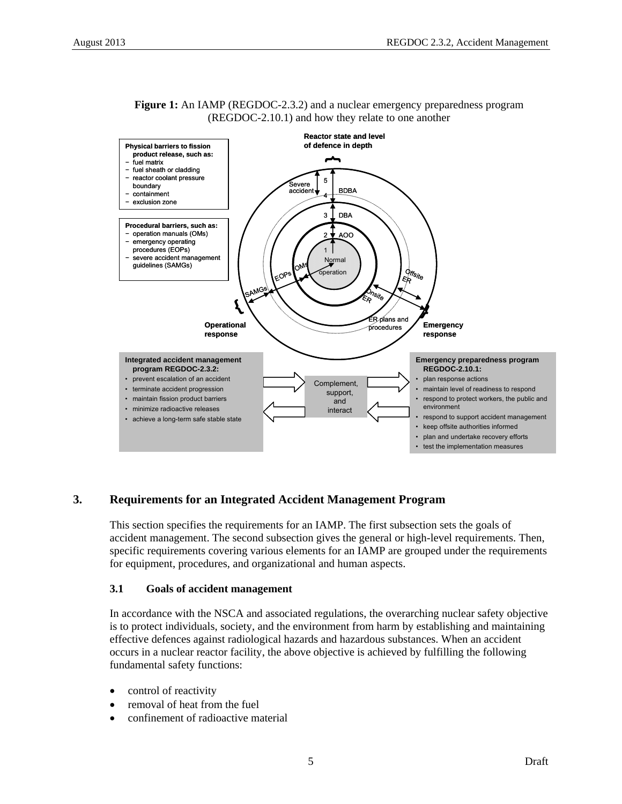<span id="page-10-0"></span>

#### **Figure 1:** An IAMP (REGDOC-2.3.2) and a nuclear emergency preparedness program (REGDOC-2.10.1) and how they relate to one another

# **3. Requirements for an Integrated Accident Management Program**

This section specifies the requirements for an IAMP. The first subsection sets the goals of accident management. The second subsection gives the general or high-level requirements. Then, specific requirements covering various elements for an IAMP are grouped under the requirements for equipment, procedures, and organizational and human aspects.

#### **3.1 Goals of accident management**

In accordance with the NSCA and associated regulations, the overarching nuclear safety objective is to protect individuals, society, and the environment from harm by establishing and maintaining effective defences against radiological hazards and hazardous substances. When an accident occurs in a nuclear reactor facility, the above objective is achieved by fulfilling the following fundamental safety functions:

- control of reactivity
- removal of heat from the fuel
- confinement of radioactive material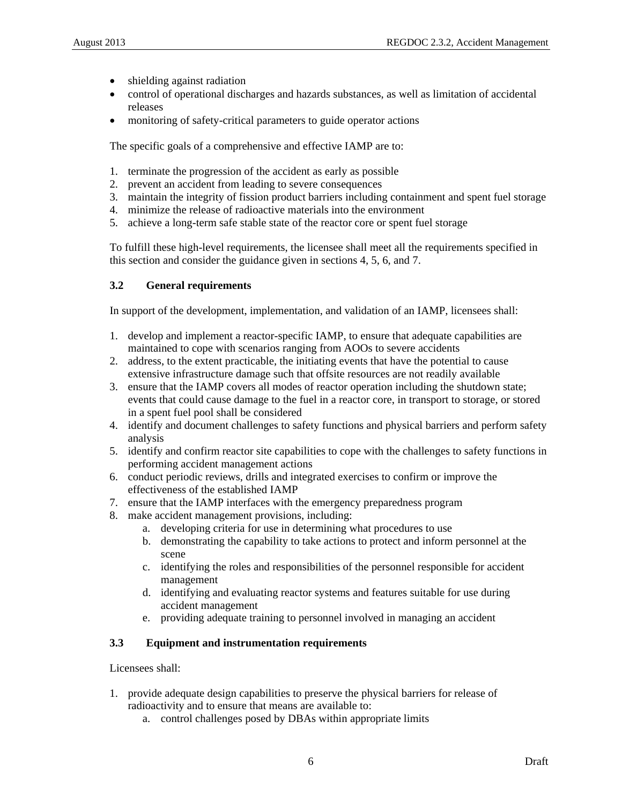- <span id="page-11-0"></span>• shielding against radiation
- control of operational discharges and hazards substances, as well as limitation of accidental releases
- monitoring of safety-critical parameters to guide operator actions

The specific goals of a comprehensive and effective IAMP are to:

- 1. terminate the progression of the accident as early as possible
- 2. prevent an accident from leading to severe consequences
- 3. maintain the integrity of fission product barriers including containment and spent fuel storage
- 4. minimize the release of radioactive materials into the environment
- 5. achieve a long-term safe stable state of the reactor core or spent fuel storage

To fulfill these high-level requirements, the licensee shall meet all the requirements specified in this section and consider the guidance given in sections 4, 5, 6, and 7.

#### **3.2 General requirements**

In support of the development, implementation, and validation of an IAMP, licensees shall:

- 1. develop and implement a reactor-specific IAMP, to ensure that adequate capabilities are maintained to cope with scenarios ranging from AOOs to severe accidents
- 2. address, to the extent practicable, the initiating events that have the potential to cause extensive infrastructure damage such that offsite resources are not readily available
- 3. ensure that the IAMP covers all modes of reactor operation including the shutdown state; events that could cause damage to the fuel in a reactor core, in transport to storage, or stored in a spent fuel pool shall be considered
- 4. identify and document challenges to safety functions and physical barriers and perform safety analysis
- 5. identify and confirm reactor site capabilities to cope with the challenges to safety functions in performing accident management actions
- 6. conduct periodic reviews, drills and integrated exercises to confirm or improve the effectiveness of the established IAMP
- 7. ensure that the IAMP interfaces with the emergency preparedness program
- 8. make accident management provisions, including:
	- a. developing criteria for use in determining what procedures to use
	- b. demonstrating the capability to take actions to protect and inform personnel at the scene
	- c. identifying the roles and responsibilities of the personnel responsible for accident management
	- d. identifying and evaluating reactor systems and features suitable for use during accident management
	- e. providing adequate training to personnel involved in managing an accident

#### **3.3 Equipment and instrumentation requirements**

Licensees shall:

- 1. provide adequate design capabilities to preserve the physical barriers for release of radioactivity and to ensure that means are available to:
	- a. control challenges posed by DBAs within appropriate limits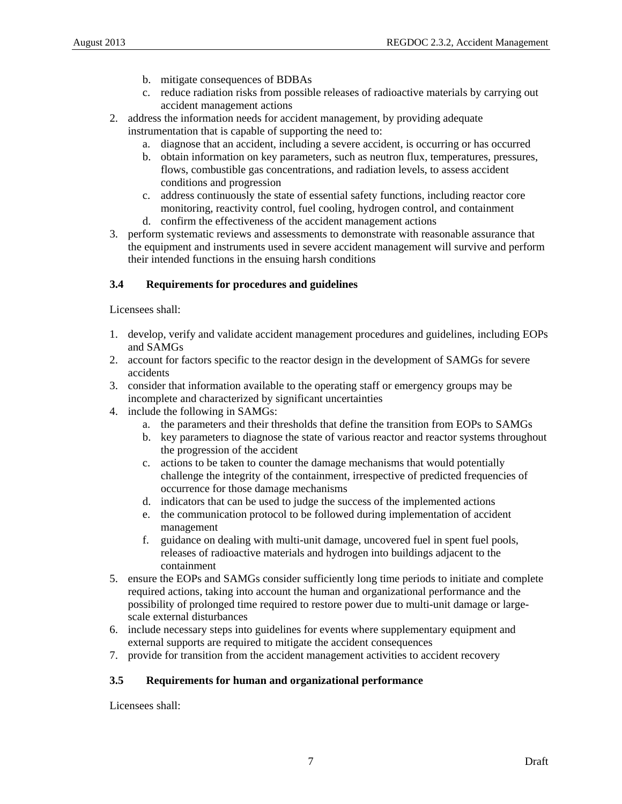- b. mitigate consequences of BDBAs
- c. reduce radiation risks from possible releases of radioactive materials by carrying out accident management actions
- <span id="page-12-0"></span>2. address the information needs for accident management, by providing adequate instrumentation that is capable of supporting the need to:
	- a. diagnose that an accident, including a severe accident, is occurring or has occurred
	- b. obtain information on key parameters, such as neutron flux, temperatures, pressures, flows, combustible gas concentrations, and radiation levels, to assess accident conditions and progression
	- c. address continuously the state of essential safety functions, including reactor core monitoring, reactivity control, fuel cooling, hydrogen control, and containment
	- d. confirm the effectiveness of the accident management actions
- 3. perform systematic reviews and assessments to demonstrate with reasonable assurance that the equipment and instruments used in severe accident management will survive and perform their intended functions in the ensuing harsh conditions

# **3.4 Requirements for procedures and guidelines**

Licensees shall:

- 1. develop, verify and validate accident management procedures and guidelines, including EOPs and SAMGs
- 2. account for factors specific to the reactor design in the development of SAMGs for severe accidents
- 3. consider that information available to the operating staff or emergency groups may be incomplete and characterized by significant uncertainties
- 4. include the following in SAMGs:
	- a. the parameters and their thresholds that define the transition from EOPs to SAMGs
	- b. key parameters to diagnose the state of various reactor and reactor systems throughout the progression of the accident
	- c. actions to be taken to counter the damage mechanisms that would potentially challenge the integrity of the containment, irrespective of predicted frequencies of occurrence for those damage mechanisms
	- d. indicators that can be used to judge the success of the implemented actions
	- e. the communication protocol to be followed during implementation of accident management
	- f. guidance on dealing with multi-unit damage, uncovered fuel in spent fuel pools, releases of radioactive materials and hydrogen into buildings adjacent to the containment
- 5. ensure the EOPs and SAMGs consider sufficiently long time periods to initiate and complete required actions, taking into account the human and organizational performance and the possibility of prolonged time required to restore power due to multi-unit damage or largescale external disturbances
- 6. include necessary steps into guidelines for events where supplementary equipment and external supports are required to mitigate the accident consequences
- 7. provide for transition from the accident management activities to accident recovery

# **3.5 Requirements for human and organizational performance**

Licensees shall: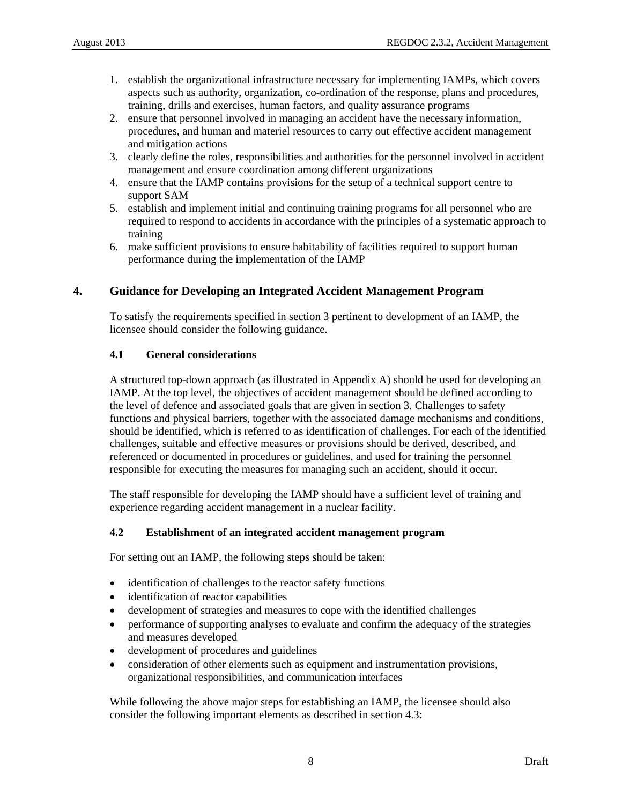- <span id="page-13-0"></span>1. establish the organizational infrastructure necessary for implementing IAMPs, which covers aspects such as authority, organization, co-ordination of the response, plans and procedures, training, drills and exercises, human factors, and quality assurance programs
- 2. ensure that personnel involved in managing an accident have the necessary information, procedures, and human and materiel resources to carry out effective accident management and mitigation actions
- 3. clearly define the roles, responsibilities and authorities for the personnel involved in accident management and ensure coordination among different organizations
- 4. ensure that the IAMP contains provisions for the setup of a technical support centre to support SAM
- 5. establish and implement initial and continuing training programs for all personnel who are required to respond to accidents in accordance with the principles of a systematic approach to training
- 6. make sufficient provisions to ensure habitability of facilities required to support human performance during the implementation of the IAMP

# **4. Guidance for Developing an Integrated Accident Management Program**

To satisfy the requirements specified in section 3 pertinent to development of an IAMP, the licensee should consider the following guidance.

#### **4.1 General considerations**

A structured top-down approach (as illustrated in Appendix A) should be used for developing an IAMP. At the top level, the objectives of accident management should be defined according to the level of defence and associated goals that are given in section 3. Challenges to safety functions and physical barriers, together with the associated damage mechanisms and conditions, should be identified, which is referred to as identification of challenges. For each of the identified challenges, suitable and effective measures or provisions should be derived, described, and referenced or documented in procedures or guidelines, and used for training the personnel responsible for executing the measures for managing such an accident, should it occur.

The staff responsible for developing the IAMP should have a sufficient level of training and experience regarding accident management in a nuclear facility.

# **4.2 Establishment of an integrated accident management program**

For setting out an IAMP, the following steps should be taken:

- identification of challenges to the reactor safety functions
- identification of reactor capabilities
- development of strategies and measures to cope with the identified challenges
- performance of supporting analyses to evaluate and confirm the adequacy of the strategies and measures developed
- development of procedures and guidelines
- consideration of other elements such as equipment and instrumentation provisions, organizational responsibilities, and communication interfaces

While following the above major steps for establishing an IAMP, the licensee should also consider the following important elements as described in section 4.3: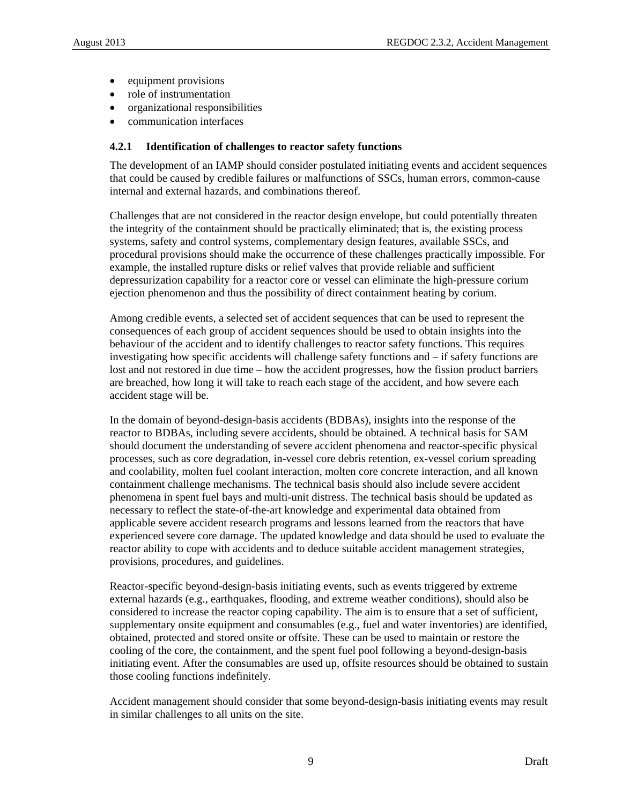- <span id="page-14-0"></span>• equipment provisions
- role of instrumentation
- organizational responsibilities
- communication interfaces

#### **4.2.1 Identification of challenges to reactor safety functions**

The development of an IAMP should consider postulated initiating events and accident sequences that could be caused by credible failures or malfunctions of SSCs, human errors, common-cause internal and external hazards, and combinations thereof.

Challenges that are not considered in the reactor design envelope, but could potentially threaten the integrity of the containment should be practically eliminated; that is, the existing process systems, safety and control systems, complementary design features, available SSCs, and procedural provisions should make the occurrence of these challenges practically impossible. For example, the installed rupture disks or relief valves that provide reliable and sufficient depressurization capability for a reactor core or vessel can eliminate the high-pressure corium ejection phenomenon and thus the possibility of direct containment heating by corium.

Among credible events, a selected set of accident sequences that can be used to represent the consequences of each group of accident sequences should be used to obtain insights into the behaviour of the accident and to identify challenges to reactor safety functions. This requires investigating how specific accidents will challenge safety functions and – if safety functions are lost and not restored in due time – how the accident progresses, how the fission product barriers are breached, how long it will take to reach each stage of the accident, and how severe each accident stage will be.

In the domain of beyond-design-basis accidents (BDBAs), insights into the response of the reactor to BDBAs, including severe accidents, should be obtained. A technical basis for SAM should document the understanding of severe accident phenomena and reactor-specific physical processes, such as core degradation, in-vessel core debris retention, ex-vessel corium spreading and coolability, molten fuel coolant interaction, molten core concrete interaction, and all known containment challenge mechanisms. The technical basis should also include severe accident phenomena in spent fuel bays and multi-unit distress. The technical basis should be updated as necessary to reflect the state-of-the-art knowledge and experimental data obtained from applicable severe accident research programs and lessons learned from the reactors that have experienced severe core damage. The updated knowledge and data should be used to evaluate the reactor ability to cope with accidents and to deduce suitable accident management strategies, provisions, procedures, and guidelines.

Reactor-specific beyond-design-basis initiating events, such as events triggered by extreme external hazards (e.g., earthquakes, flooding, and extreme weather conditions), should also be considered to increase the reactor coping capability. The aim is to ensure that a set of sufficient, supplementary onsite equipment and consumables (e.g., fuel and water inventories) are identified, obtained, protected and stored onsite or offsite. These can be used to maintain or restore the cooling of the core, the containment, and the spent fuel pool following a beyond-design-basis initiating event. After the consumables are used up, offsite resources should be obtained to sustain those cooling functions indefinitely.

Accident management should consider that some beyond-design-basis initiating events may result in similar challenges to all units on the site.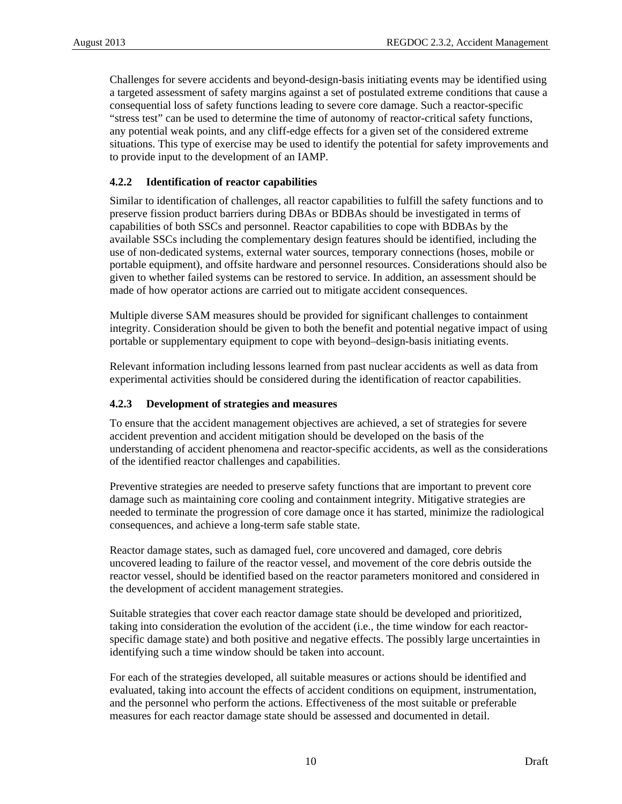<span id="page-15-0"></span>Challenges for severe accidents and beyond-design-basis initiating events may be identified using a targeted assessment of safety margins against a set of postulated extreme conditions that cause a consequential loss of safety functions leading to severe core damage. Such a reactor-specific "stress test" can be used to determine the time of autonomy of reactor-critical safety functions, any potential weak points, and any cliff-edge effects for a given set of the considered extreme situations. This type of exercise may be used to identify the potential for safety improvements and to provide input to the development of an IAMP.

# **4.2.2 Identification of reactor capabilities**

Similar to identification of challenges, all reactor capabilities to fulfill the safety functions and to preserve fission product barriers during DBAs or BDBAs should be investigated in terms of capabilities of both SSCs and personnel. Reactor capabilities to cope with BDBAs by the available SSCs including the complementary design features should be identified, including the use of non-dedicated systems, external water sources, temporary connections (hoses, mobile or portable equipment), and offsite hardware and personnel resources. Considerations should also be given to whether failed systems can be restored to service. In addition, an assessment should be made of how operator actions are carried out to mitigate accident consequences.

Multiple diverse SAM measures should be provided for significant challenges to containment integrity. Consideration should be given to both the benefit and potential negative impact of using portable or supplementary equipment to cope with beyond–design-basis initiating events.

Relevant information including lessons learned from past nuclear accidents as well as data from experimental activities should be considered during the identification of reactor capabilities.

# **4.2.3 Development of strategies and measures**

To ensure that the accident management objectives are achieved, a set of strategies for severe accident prevention and accident mitigation should be developed on the basis of the understanding of accident phenomena and reactor-specific accidents, as well as the considerations of the identified reactor challenges and capabilities.

Preventive strategies are needed to preserve safety functions that are important to prevent core damage such as maintaining core cooling and containment integrity. Mitigative strategies are needed to terminate the progression of core damage once it has started, minimize the radiological consequences, and achieve a long-term safe stable state.

Reactor damage states, such as damaged fuel, core uncovered and damaged, core debris uncovered leading to failure of the reactor vessel, and movement of the core debris outside the reactor vessel, should be identified based on the reactor parameters monitored and considered in the development of accident management strategies.

Suitable strategies that cover each reactor damage state should be developed and prioritized, taking into consideration the evolution of the accident (i.e., the time window for each reactorspecific damage state) and both positive and negative effects. The possibly large uncertainties in identifying such a time window should be taken into account.

For each of the strategies developed, all suitable measures or actions should be identified and evaluated, taking into account the effects of accident conditions on equipment, instrumentation, and the personnel who perform the actions. Effectiveness of the most suitable or preferable measures for each reactor damage state should be assessed and documented in detail.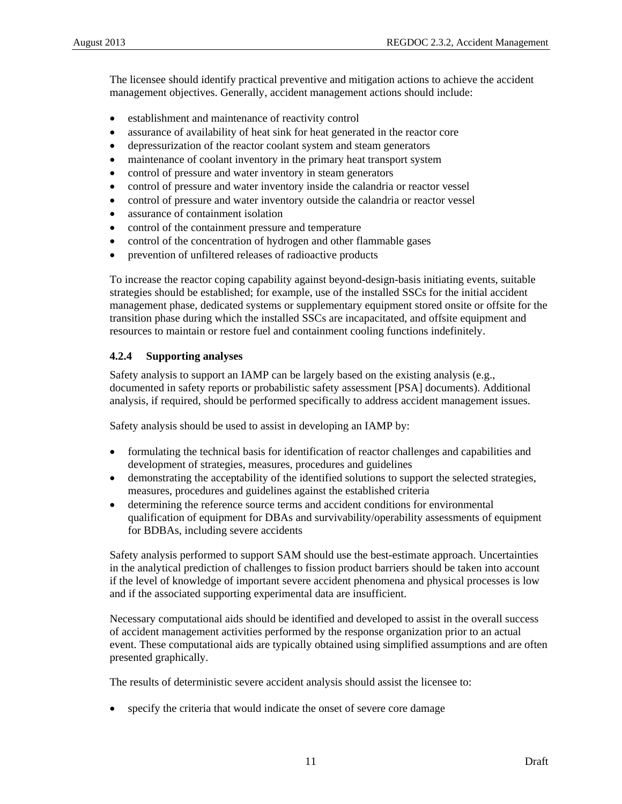<span id="page-16-0"></span>The licensee should identify practical preventive and mitigation actions to achieve the accident management objectives. Generally, accident management actions should include:

- establishment and maintenance of reactivity control
- assurance of availability of heat sink for heat generated in the reactor core
- depressurization of the reactor coolant system and steam generators
- maintenance of coolant inventory in the primary heat transport system
- control of pressure and water inventory in steam generators
- control of pressure and water inventory inside the calandria or reactor vessel
- control of pressure and water inventory outside the calandria or reactor vessel
- assurance of containment isolation
- control of the containment pressure and temperature
- control of the concentration of hydrogen and other flammable gases
- prevention of unfiltered releases of radioactive products

To increase the reactor coping capability against beyond-design-basis initiating events, suitable strategies should be established; for example, use of the installed SSCs for the initial accident management phase, dedicated systems or supplementary equipment stored onsite or offsite for the transition phase during which the installed SSCs are incapacitated, and offsite equipment and resources to maintain or restore fuel and containment cooling functions indefinitely.

#### **4.2.4 Supporting analyses**

Safety analysis to support an IAMP can be largely based on the existing analysis (e.g., documented in safety reports or probabilistic safety assessment [PSA] documents). Additional analysis, if required, should be performed specifically to address accident management issues.

Safety analysis should be used to assist in developing an IAMP by:

- formulating the technical basis for identification of reactor challenges and capabilities and development of strategies, measures, procedures and guidelines
- demonstrating the acceptability of the identified solutions to support the selected strategies, measures, procedures and guidelines against the established criteria
- determining the reference source terms and accident conditions for environmental qualification of equipment for DBAs and survivability/operability assessments of equipment for BDBAs, including severe accidents

Safety analysis performed to support SAM should use the best-estimate approach. Uncertainties in the analytical prediction of challenges to fission product barriers should be taken into account if the level of knowledge of important severe accident phenomena and physical processes is low and if the associated supporting experimental data are insufficient.

Necessary computational aids should be identified and developed to assist in the overall success of accident management activities performed by the response organization prior to an actual event. These computational aids are typically obtained using simplified assumptions and are often presented graphically.

The results of deterministic severe accident analysis should assist the licensee to:

specify the criteria that would indicate the onset of severe core damage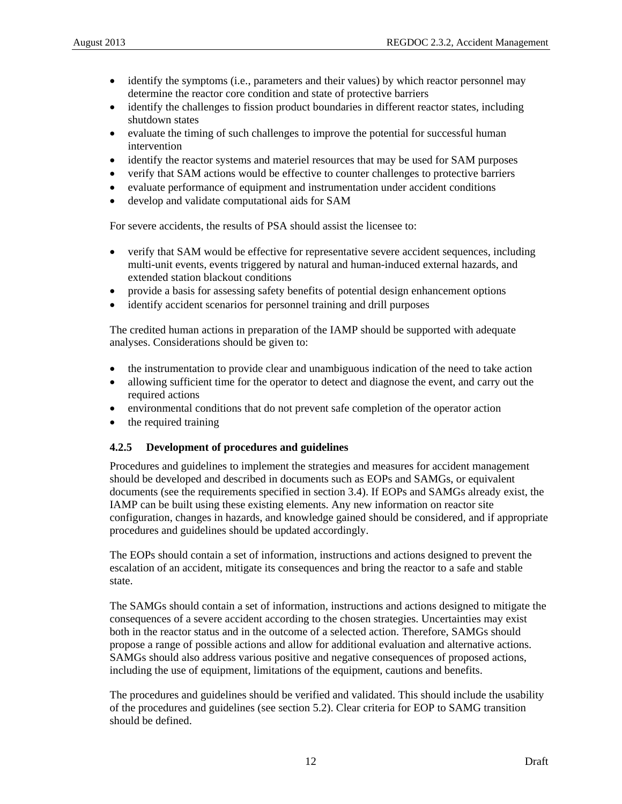- <span id="page-17-0"></span>• identify the symptoms (i.e., parameters and their values) by which reactor personnel may determine the reactor core condition and state of protective barriers
- identify the challenges to fission product boundaries in different reactor states, including shutdown states
- evaluate the timing of such challenges to improve the potential for successful human intervention
- identify the reactor systems and materiel resources that may be used for SAM purposes
- verify that SAM actions would be effective to counter challenges to protective barriers
- evaluate performance of equipment and instrumentation under accident conditions
- develop and validate computational aids for SAM

For severe accidents, the results of PSA should assist the licensee to:

- verify that SAM would be effective for representative severe accident sequences, including multi-unit events, events triggered by natural and human-induced external hazards, and extended station blackout conditions
- provide a basis for assessing safety benefits of potential design enhancement options
- identify accident scenarios for personnel training and drill purposes

The credited human actions in preparation of the IAMP should be supported with adequate analyses. Considerations should be given to:

- the instrumentation to provide clear and unambiguous indication of the need to take action
- allowing sufficient time for the operator to detect and diagnose the event, and carry out the required actions
- environmental conditions that do not prevent safe completion of the operator action
- the required training

#### **4.2.5 Development of procedures and guidelines**

Procedures and guidelines to implement the strategies and measures for accident management should be developed and described in documents such as EOPs and SAMGs, or equivalent documents (see the requirements specified in section 3.4). If EOPs and SAMGs already exist, the IAMP can be built using these existing elements. Any new information on reactor site configuration, changes in hazards, and knowledge gained should be considered, and if appropriate procedures and guidelines should be updated accordingly.

The EOPs should contain a set of information, instructions and actions designed to prevent the escalation of an accident, mitigate its consequences and bring the reactor to a safe and stable state.

The SAMGs should contain a set of information, instructions and actions designed to mitigate the consequences of a severe accident according to the chosen strategies. Uncertainties may exist both in the reactor status and in the outcome of a selected action. Therefore, SAMGs should propose a range of possible actions and allow for additional evaluation and alternative actions. SAMGs should also address various positive and negative consequences of proposed actions, including the use of equipment, limitations of the equipment, cautions and benefits.

The procedures and guidelines should be verified and validated. This should include the usability of the procedures and guidelines (see section 5.2). Clear criteria for EOP to SAMG transition should be defined.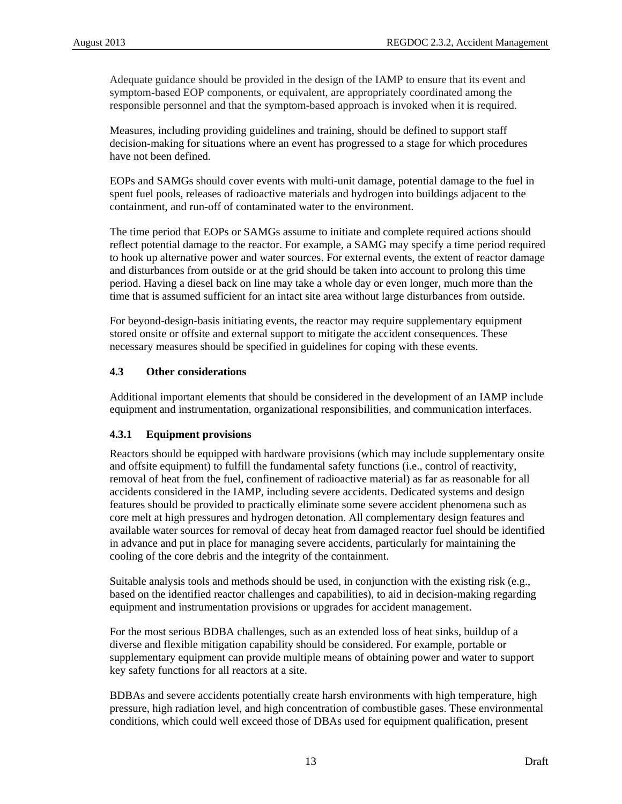<span id="page-18-0"></span>Adequate guidance should be provided in the design of the IAMP to ensure that its event and symptom-based EOP components, or equivalent, are appropriately coordinated among the responsible personnel and that the symptom-based approach is invoked when it is required.

Measures, including providing guidelines and training, should be defined to support staff decision-making for situations where an event has progressed to a stage for which procedures have not been defined.

EOPs and SAMGs should cover events with multi-unit damage, potential damage to the fuel in spent fuel pools, releases of radioactive materials and hydrogen into buildings adjacent to the containment, and run-off of contaminated water to the environment.

The time period that EOPs or SAMGs assume to initiate and complete required actions should reflect potential damage to the reactor. For example, a SAMG may specify a time period required to hook up alternative power and water sources. For external events, the extent of reactor damage and disturbances from outside or at the grid should be taken into account to prolong this time period. Having a diesel back on line may take a whole day or even longer, much more than the time that is assumed sufficient for an intact site area without large disturbances from outside.

For beyond-design-basis initiating events, the reactor may require supplementary equipment stored onsite or offsite and external support to mitigate the accident consequences. These necessary measures should be specified in guidelines for coping with these events.

# **4.3 Other considerations**

Additional important elements that should be considered in the development of an IAMP include equipment and instrumentation, organizational responsibilities, and communication interfaces.

# **4.3.1 Equipment provisions**

Reactors should be equipped with hardware provisions (which may include supplementary onsite and offsite equipment) to fulfill the fundamental safety functions (i.e., control of reactivity, removal of heat from the fuel, confinement of radioactive material) as far as reasonable for all accidents considered in the IAMP, including severe accidents. Dedicated systems and design features should be provided to practically eliminate some severe accident phenomena such as core melt at high pressures and hydrogen detonation. All complementary design features and available water sources for removal of decay heat from damaged reactor fuel should be identified in advance and put in place for managing severe accidents, particularly for maintaining the cooling of the core debris and the integrity of the containment.

Suitable analysis tools and methods should be used, in conjunction with the existing risk (e.g., based on the identified reactor challenges and capabilities), to aid in decision-making regarding equipment and instrumentation provisions or upgrades for accident management.

For the most serious BDBA challenges, such as an extended loss of heat sinks, buildup of a diverse and flexible mitigation capability should be considered. For example, portable or supplementary equipment can provide multiple means of obtaining power and water to support key safety functions for all reactors at a site.

BDBAs and severe accidents potentially create harsh environments with high temperature, high pressure, high radiation level, and high concentration of combustible gases. These environmental conditions, which could well exceed those of DBAs used for equipment qualification, present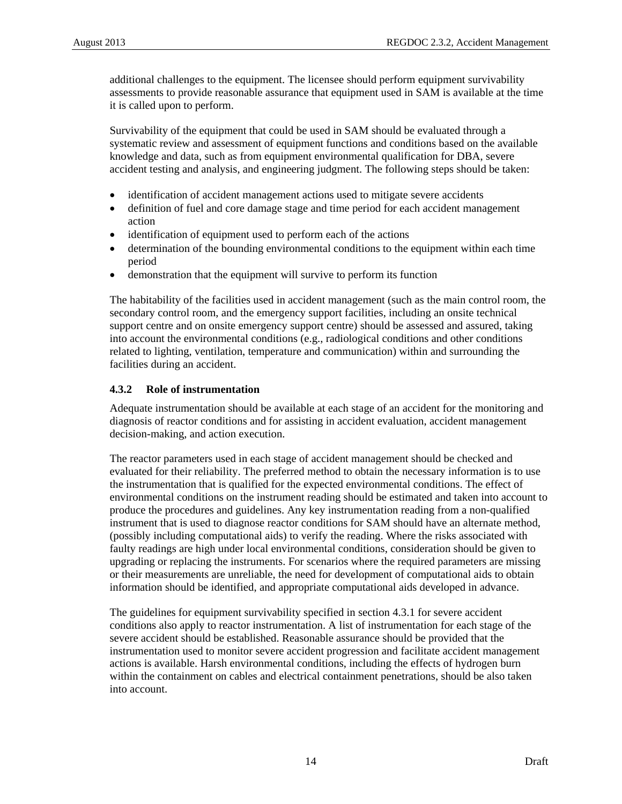<span id="page-19-0"></span>additional challenges to the equipment. The licensee should perform equipment survivability assessments to provide reasonable assurance that equipment used in SAM is available at the time it is called upon to perform.

Survivability of the equipment that could be used in SAM should be evaluated through a systematic review and assessment of equipment functions and conditions based on the available knowledge and data, such as from equipment environmental qualification for DBA, severe accident testing and analysis, and engineering judgment. The following steps should be taken:

- identification of accident management actions used to mitigate severe accidents
- definition of fuel and core damage stage and time period for each accident management action
- identification of equipment used to perform each of the actions
- determination of the bounding environmental conditions to the equipment within each time period
- demonstration that the equipment will survive to perform its function

The habitability of the facilities used in accident management (such as the main control room, the secondary control room, and the emergency support facilities, including an onsite technical support centre and on onsite emergency support centre) should be assessed and assured, taking into account the environmental conditions (e.g., radiological conditions and other conditions related to lighting, ventilation, temperature and communication) within and surrounding the facilities during an accident.

#### **4.3.2 Role of instrumentation**

Adequate instrumentation should be available at each stage of an accident for the monitoring and diagnosis of reactor conditions and for assisting in accident evaluation, accident management decision-making, and action execution.

The reactor parameters used in each stage of accident management should be checked and evaluated for their reliability. The preferred method to obtain the necessary information is to use the instrumentation that is qualified for the expected environmental conditions. The effect of environmental conditions on the instrument reading should be estimated and taken into account to produce the procedures and guidelines. Any key instrumentation reading from a non-qualified instrument that is used to diagnose reactor conditions for SAM should have an alternate method, (possibly including computational aids) to verify the reading. Where the risks associated with faulty readings are high under local environmental conditions, consideration should be given to upgrading or replacing the instruments. For scenarios where the required parameters are missing or their measurements are unreliable, the need for development of computational aids to obtain information should be identified, and appropriate computational aids developed in advance.

The guidelines for equipment survivability specified in section 4.3.1 for severe accident conditions also apply to reactor instrumentation. A list of instrumentation for each stage of the severe accident should be established. Reasonable assurance should be provided that the instrumentation used to monitor severe accident progression and facilitate accident management actions is available. Harsh environmental conditions, including the effects of hydrogen burn within the containment on cables and electrical containment penetrations, should be also taken into account.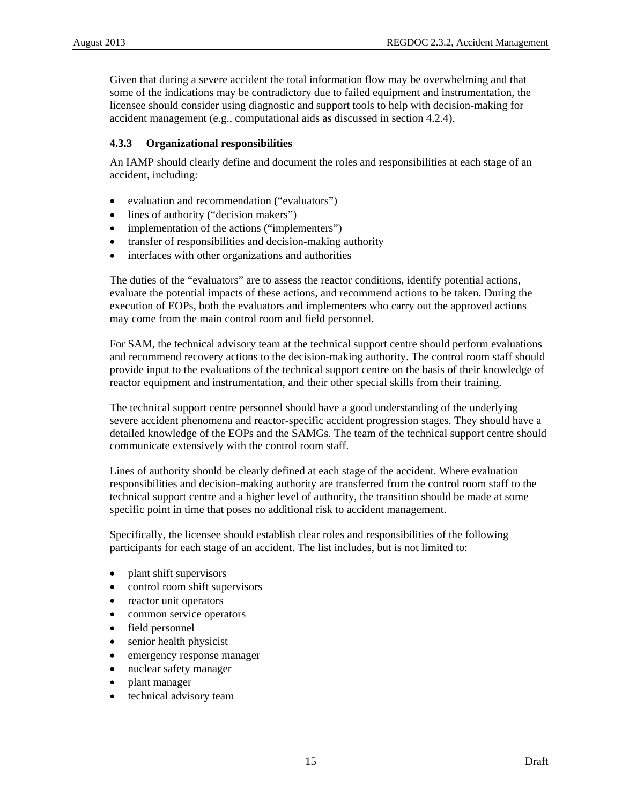<span id="page-20-0"></span>Given that during a severe accident the total information flow may be overwhelming and that some of the indications may be contradictory due to failed equipment and instrumentation, the licensee should consider using diagnostic and support tools to help with decision-making for accident management (e.g., computational aids as discussed in section 4.2.4).

### **4.3.3 Organizational responsibilities**

An IAMP should clearly define and document the roles and responsibilities at each stage of an accident, including:

- evaluation and recommendation ("evaluators")
- lines of authority ("decision makers")
- implementation of the actions ("implementers")
- transfer of responsibilities and decision-making authority
- interfaces with other organizations and authorities

The duties of the "evaluators" are to assess the reactor conditions, identify potential actions, evaluate the potential impacts of these actions, and recommend actions to be taken. During the execution of EOPs, both the evaluators and implementers who carry out the approved actions may come from the main control room and field personnel.

For SAM, the technical advisory team at the technical support centre should perform evaluations and recommend recovery actions to the decision-making authority. The control room staff should provide input to the evaluations of the technical support centre on the basis of their knowledge of reactor equipment and instrumentation, and their other special skills from their training.

The technical support centre personnel should have a good understanding of the underlying severe accident phenomena and reactor-specific accident progression stages. They should have a detailed knowledge of the EOPs and the SAMGs. The team of the technical support centre should communicate extensively with the control room staff.

Lines of authority should be clearly defined at each stage of the accident. Where evaluation responsibilities and decision-making authority are transferred from the control room staff to the technical support centre and a higher level of authority, the transition should be made at some specific point in time that poses no additional risk to accident management.

Specifically, the licensee should establish clear roles and responsibilities of the following participants for each stage of an accident. The list includes, but is not limited to:

- plant shift supervisors
- control room shift supervisors
- reactor unit operators
- common service operators
- field personnel
- senior health physicist
- emergency response manager
- nuclear safety manager
- plant manager
- technical advisory team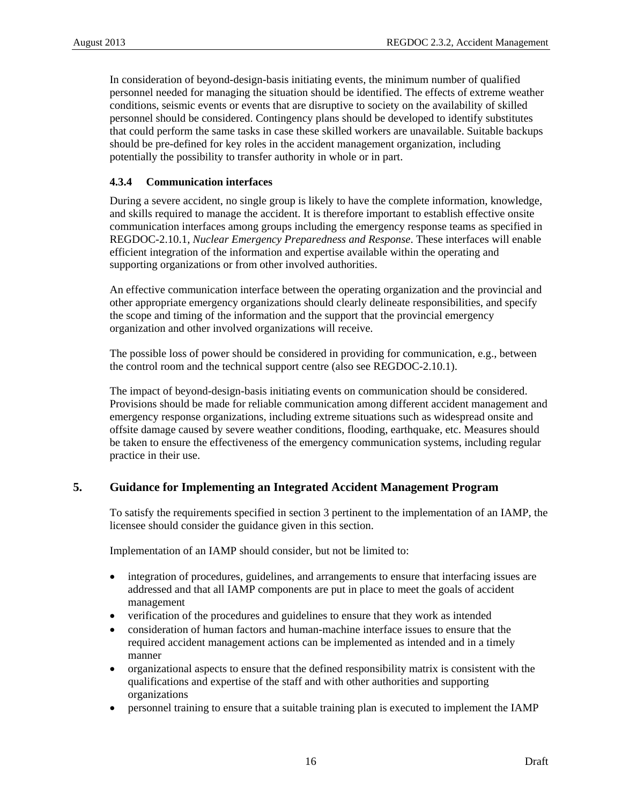<span id="page-21-0"></span>In consideration of beyond-design-basis initiating events, the minimum number of qualified personnel needed for managing the situation should be identified. The effects of extreme weather conditions, seismic events or events that are disruptive to society on the availability of skilled personnel should be considered. Contingency plans should be developed to identify substitutes that could perform the same tasks in case these skilled workers are unavailable. Suitable backups should be pre-defined for key roles in the accident management organization, including potentially the possibility to transfer authority in whole or in part.

# **4.3.4 Communication interfaces**

During a severe accident, no single group is likely to have the complete information, knowledge, and skills required to manage the accident. It is therefore important to establish effective onsite communication interfaces among groups including the emergency response teams as specified in REGDOC-2.10.1, *Nuclear Emergency Preparedness and Response*. These interfaces will enable efficient integration of the information and expertise available within the operating and supporting organizations or from other involved authorities.

An effective communication interface between the operating organization and the provincial and other appropriate emergency organizations should clearly delineate responsibilities, and specify the scope and timing of the information and the support that the provincial emergency organization and other involved organizations will receive.

The possible loss of power should be considered in providing for communication, e.g., between the control room and the technical support centre (also see REGDOC-2.10.1).

The impact of beyond-design-basis initiating events on communication should be considered. Provisions should be made for reliable communication among different accident management and emergency response organizations, including extreme situations such as widespread onsite and offsite damage caused by severe weather conditions, flooding, earthquake, etc. Measures should be taken to ensure the effectiveness of the emergency communication systems, including regular practice in their use.

# **5. Guidance for Implementing an Integrated Accident Management Program**

To satisfy the requirements specified in section 3 pertinent to the implementation of an IAMP, the licensee should consider the guidance given in this section.

Implementation of an IAMP should consider, but not be limited to:

- integration of procedures, guidelines, and arrangements to ensure that interfacing issues are addressed and that all IAMP components are put in place to meet the goals of accident management
- verification of the procedures and guidelines to ensure that they work as intended
- consideration of human factors and human-machine interface issues to ensure that the required accident management actions can be implemented as intended and in a timely manner
- organizational aspects to ensure that the defined responsibility matrix is consistent with the qualifications and expertise of the staff and with other authorities and supporting organizations
- personnel training to ensure that a suitable training plan is executed to implement the IAMP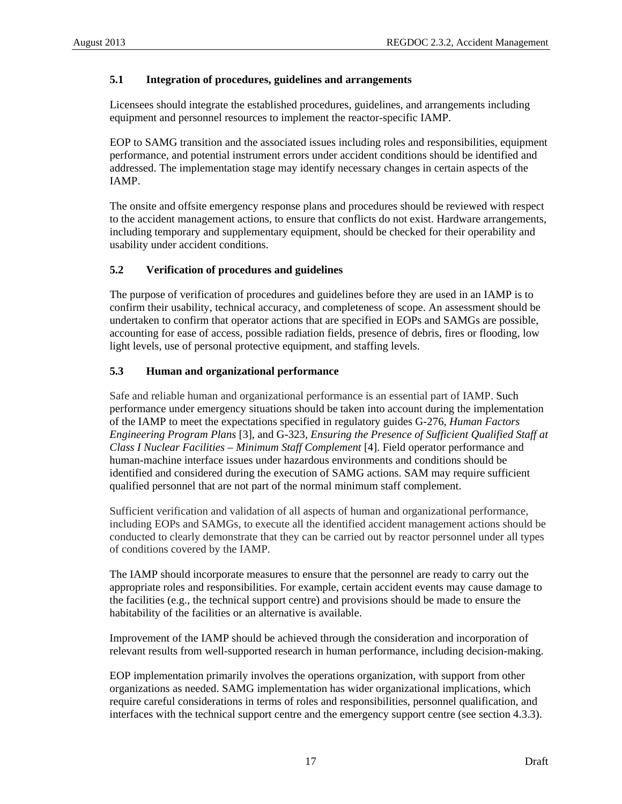# <span id="page-22-0"></span>**5.1 Integration of procedures, guidelines and arrangements**

Licensees should integrate the established procedures, guidelines, and arrangements including equipment and personnel resources to implement the reactor-specific IAMP.

EOP to SAMG transition and the associated issues including roles and responsibilities, equipment performance, and potential instrument errors under accident conditions should be identified and addressed. The implementation stage may identify necessary changes in certain aspects of the IAMP.

The onsite and offsite emergency response plans and procedures should be reviewed with respect to the accident management actions, to ensure that conflicts do not exist. Hardware arrangements, including temporary and supplementary equipment, should be checked for their operability and usability under accident conditions.

# **5.2 Verification of procedures and guidelines**

The purpose of verification of procedures and guidelines before they are used in an IAMP is to confirm their usability, technical accuracy, and completeness of scope. An assessment should be undertaken to confirm that operator actions that are specified in EOPs and SAMGs are possible, accounting for ease of access, possible radiation fields, presence of debris, fires or flooding, low light levels, use of personal protective equipment, and staffing levels.

# **5.3 Human and organizational performance**

Safe and reliable human and organizational performance is an essential part of IAMP. Such performance under emergency situations should be taken into account during the implementation of the IAMP to meet the expectations specified in regulatory guides G-276, *Human Factors Engineering Program Plans* [3], and G-323, *Ensuring the Presence of Sufficient Qualified Staff at Class I Nuclear Facilities – Minimum Staff Complement* [4]. Field operator performance and human-machine interface issues under hazardous environments and conditions should be identified and considered during the execution of SAMG actions. SAM may require sufficient qualified personnel that are not part of the normal minimum staff complement.

Sufficient verification and validation of all aspects of human and organizational performance, including EOPs and SAMGs, to execute all the identified accident management actions should be conducted to clearly demonstrate that they can be carried out by reactor personnel under all types of conditions covered by the IAMP.

The IAMP should incorporate measures to ensure that the personnel are ready to carry out the appropriate roles and responsibilities. For example, certain accident events may cause damage to the facilities (e.g., the technical support centre) and provisions should be made to ensure the habitability of the facilities or an alternative is available.

Improvement of the IAMP should be achieved through the consideration and incorporation of relevant results from well-supported research in human performance, including decision-making.

EOP implementation primarily involves the operations organization, with support from other organizations as needed. SAMG implementation has wider organizational implications, which require careful considerations in terms of roles and responsibilities, personnel qualification, and interfaces with the technical support centre and the emergency support centre (see section 4.3.3).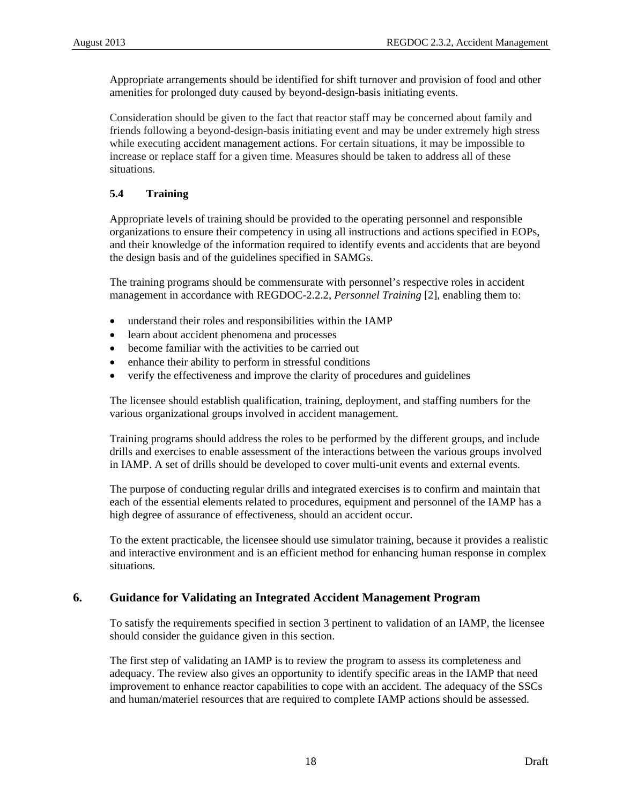<span id="page-23-0"></span>Appropriate arrangements should be identified for shift turnover and provision of food and other amenities for prolonged duty caused by beyond-design-basis initiating events.

Consideration should be given to the fact that reactor staff may be concerned about family and friends following a beyond-design-basis initiating event and may be under extremely high stress while executing accident management actions. For certain situations, it may be impossible to increase or replace staff for a given time. Measures should be taken to address all of these situations.

# **5.4 Training**

Appropriate levels of training should be provided to the operating personnel and responsible organizations to ensure their competency in using all instructions and actions specified in EOPs, and their knowledge of the information required to identify events and accidents that are beyond the design basis and of the guidelines specified in SAMGs.

The training programs should be commensurate with personnel's respective roles in accident management in accordance with REGDOC-2.2.2, *Personnel Training* [2], enabling them to:

- understand their roles and responsibilities within the IAMP
- learn about accident phenomena and processes
- become familiar with the activities to be carried out
- enhance their ability to perform in stressful conditions
- verify the effectiveness and improve the clarity of procedures and guidelines

The licensee should establish qualification, training, deployment, and staffing numbers for the various organizational groups involved in accident management.

Training programs should address the roles to be performed by the different groups, and include drills and exercises to enable assessment of the interactions between the various groups involved in IAMP. A set of drills should be developed to cover multi-unit events and external events.

The purpose of conducting regular drills and integrated exercises is to confirm and maintain that each of the essential elements related to procedures, equipment and personnel of the IAMP has a high degree of assurance of effectiveness, should an accident occur.

To the extent practicable, the licensee should use simulator training, because it provides a realistic and interactive environment and is an efficient method for enhancing human response in complex situations.

# **6. Guidance for Validating an Integrated Accident Management Program**

To satisfy the requirements specified in section 3 pertinent to validation of an IAMP, the licensee should consider the guidance given in this section.

The first step of validating an IAMP is to review the program to assess its completeness and adequacy. The review also gives an opportunity to identify specific areas in the IAMP that need improvement to enhance reactor capabilities to cope with an accident. The adequacy of the SSCs and human/materiel resources that are required to complete IAMP actions should be assessed.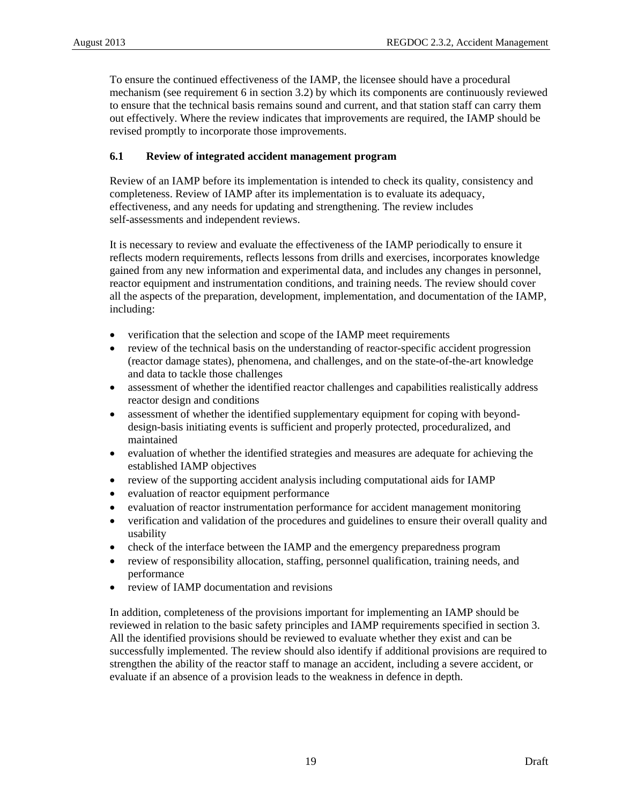<span id="page-24-0"></span>To ensure the continued effectiveness of the IAMP, the licensee should have a procedural mechanism (see requirement 6 in section 3.2) by which its components are continuously reviewed to ensure that the technical basis remains sound and current, and that station staff can carry them out effectively. Where the review indicates that improvements are required, the IAMP should be revised promptly to incorporate those improvements.

# **6.1 Review of integrated accident management program**

Review of an IAMP before its implementation is intended to check its quality, consistency and completeness. Review of IAMP after its implementation is to evaluate its adequacy, effectiveness, and any needs for updating and strengthening. The review includes self-assessments and independent reviews.

It is necessary to review and evaluate the effectiveness of the IAMP periodically to ensure it reflects modern requirements, reflects lessons from drills and exercises, incorporates knowledge gained from any new information and experimental data, and includes any changes in personnel, reactor equipment and instrumentation conditions, and training needs. The review should cover all the aspects of the preparation, development, implementation, and documentation of the IAMP, including:

- verification that the selection and scope of the IAMP meet requirements
- review of the technical basis on the understanding of reactor-specific accident progression (reactor damage states), phenomena, and challenges, and on the state-of-the-art knowledge and data to tackle those challenges
- assessment of whether the identified reactor challenges and capabilities realistically address reactor design and conditions
- assessment of whether the identified supplementary equipment for coping with beyonddesign-basis initiating events is sufficient and properly protected, proceduralized, and maintained
- evaluation of whether the identified strategies and measures are adequate for achieving the established IAMP objectives
- review of the supporting accident analysis including computational aids for IAMP
- evaluation of reactor equipment performance
- evaluation of reactor instrumentation performance for accident management monitoring
- verification and validation of the procedures and guidelines to ensure their overall quality and usability
- check of the interface between the IAMP and the emergency preparedness program
- review of responsibility allocation, staffing, personnel qualification, training needs, and performance
- review of IAMP documentation and revisions

In addition, completeness of the provisions important for implementing an IAMP should be reviewed in relation to the basic safety principles and IAMP requirements specified in section 3. All the identified provisions should be reviewed to evaluate whether they exist and can be successfully implemented. The review should also identify if additional provisions are required to strengthen the ability of the reactor staff to manage an accident, including a severe accident, or evaluate if an absence of a provision leads to the weakness in defence in depth.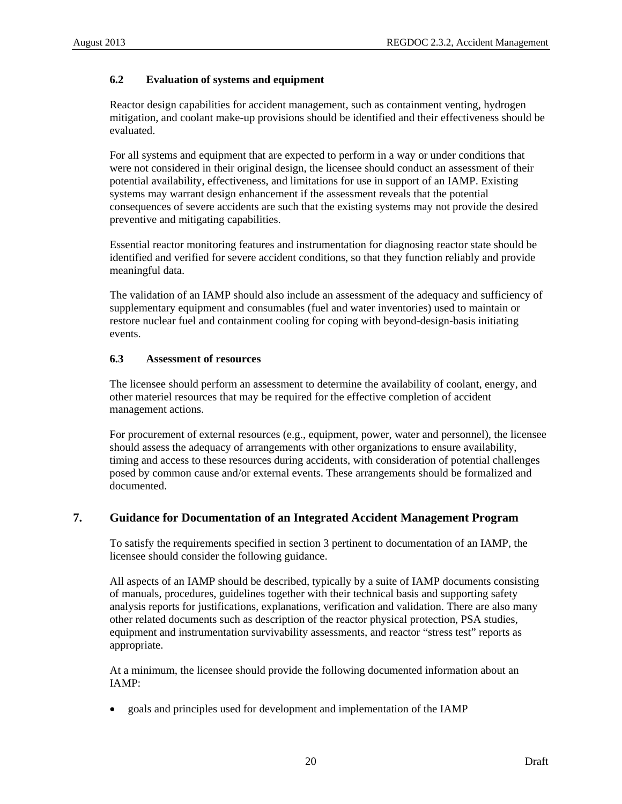# <span id="page-25-0"></span>**6.2 Evaluation of systems and equipment**

Reactor design capabilities for accident management, such as containment venting, hydrogen mitigation, and coolant make-up provisions should be identified and their effectiveness should be evaluated.

For all systems and equipment that are expected to perform in a way or under conditions that were not considered in their original design, the licensee should conduct an assessment of their potential availability, effectiveness, and limitations for use in support of an IAMP. Existing systems may warrant design enhancement if the assessment reveals that the potential consequences of severe accidents are such that the existing systems may not provide the desired preventive and mitigating capabilities.

Essential reactor monitoring features and instrumentation for diagnosing reactor state should be identified and verified for severe accident conditions, so that they function reliably and provide meaningful data.

The validation of an IAMP should also include an assessment of the adequacy and sufficiency of supplementary equipment and consumables (fuel and water inventories) used to maintain or restore nuclear fuel and containment cooling for coping with beyond-design-basis initiating events.

#### **6.3 Assessment of resources**

The licensee should perform an assessment to determine the availability of coolant, energy, and other materiel resources that may be required for the effective completion of accident management actions.

For procurement of external resources (e.g., equipment, power, water and personnel), the licensee should assess the adequacy of arrangements with other organizations to ensure availability, timing and access to these resources during accidents, with consideration of potential challenges posed by common cause and/or external events. These arrangements should be formalized and documented.

# **7. Guidance for Documentation of an Integrated Accident Management Program**

To satisfy the requirements specified in section 3 pertinent to documentation of an IAMP, the licensee should consider the following guidance.

All aspects of an IAMP should be described, typically by a suite of IAMP documents consisting of manuals, procedures, guidelines together with their technical basis and supporting safety analysis reports for justifications, explanations, verification and validation. There are also many other related documents such as description of the reactor physical protection, PSA studies, equipment and instrumentation survivability assessments, and reactor "stress test" reports as appropriate.

At a minimum, the licensee should provide the following documented information about an IAMP:

• goals and principles used for development and implementation of the IAMP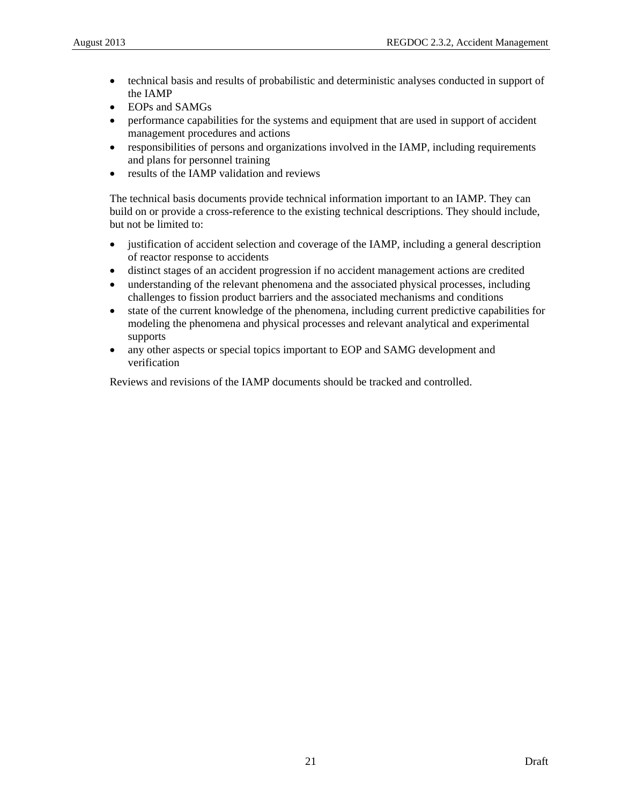- technical basis and results of probabilistic and deterministic analyses conducted in support of the IAMP
- EOPs and SAMGs
- performance capabilities for the systems and equipment that are used in support of accident management procedures and actions
- responsibilities of persons and organizations involved in the IAMP, including requirements and plans for personnel training
- results of the IAMP validation and reviews

The technical basis documents provide technical information important to an IAMP. They can build on or provide a cross-reference to the existing technical descriptions. They should include, but not be limited to:

- justification of accident selection and coverage of the IAMP, including a general description of reactor response to accidents
- distinct stages of an accident progression if no accident management actions are credited
- understanding of the relevant phenomena and the associated physical processes, including challenges to fission product barriers and the associated mechanisms and conditions
- state of the current knowledge of the phenomena, including current predictive capabilities for modeling the phenomena and physical processes and relevant analytical and experimental supports
- any other aspects or special topics important to EOP and SAMG development and verification

Reviews and revisions of the IAMP documents should be tracked and controlled.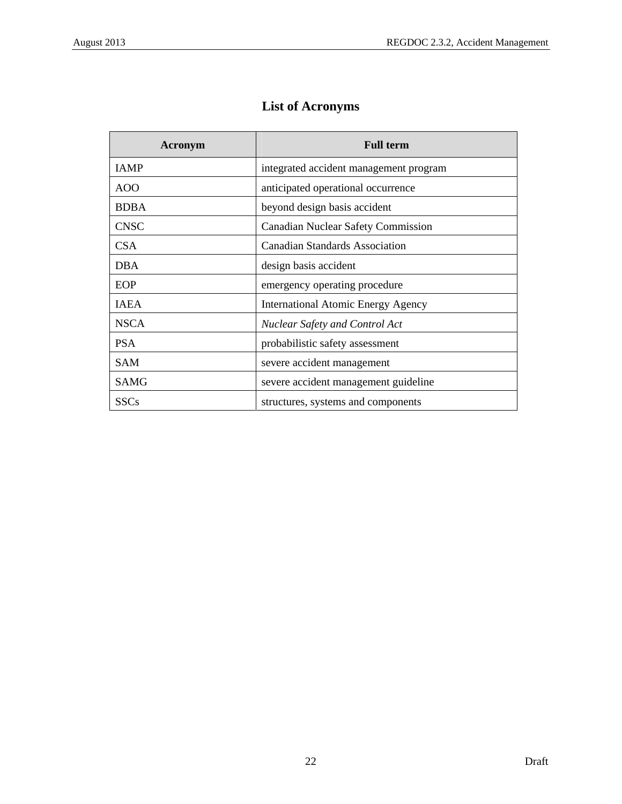|  |  | <b>List of Acronyms</b> |
|--|--|-------------------------|
|--|--|-------------------------|

<span id="page-27-0"></span>

| Acronym     | <b>Full term</b>                          |
|-------------|-------------------------------------------|
| <b>IAMP</b> | integrated accident management program    |
| AOO         | anticipated operational occurrence        |
| <b>BDBA</b> | beyond design basis accident              |
| <b>CNSC</b> | <b>Canadian Nuclear Safety Commission</b> |
| <b>CSA</b>  | Canadian Standards Association            |
| <b>DBA</b>  | design basis accident                     |
| EOP         | emergency operating procedure             |
| <b>IAEA</b> | <b>International Atomic Energy Agency</b> |
| <b>NSCA</b> | <b>Nuclear Safety and Control Act</b>     |
| <b>PSA</b>  | probabilistic safety assessment           |
| <b>SAM</b>  | severe accident management                |
| <b>SAMG</b> | severe accident management guideline      |
| <b>SSCs</b> | structures, systems and components        |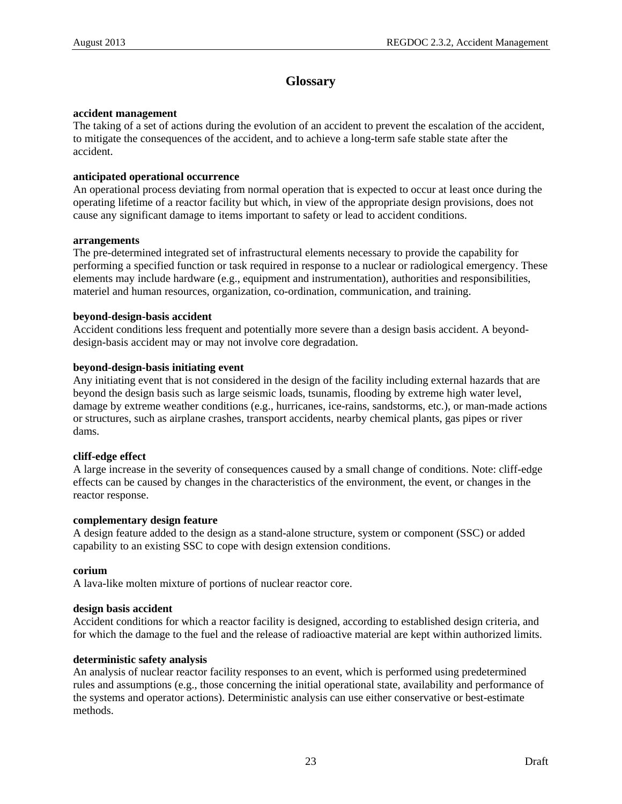# **Glossary**

#### <span id="page-28-0"></span>**accident management**

The taking of a set of actions during the evolution of an accident to prevent the escalation of the accident, to mitigate the consequences of the accident, and to achieve a long-term safe stable state after the accident.

# **anticipated operational occurrence**

An operational process deviating from normal operation that is expected to occur at least once during the operating lifetime of a reactor facility but which, in view of the appropriate design provisions, does not cause any significant damage to items important to safety or lead to accident conditions.

# **arrangements**

The pre-determined integrated set of infrastructural elements necessary to provide the capability for performing a specified function or task required in response to a nuclear or radiological emergency. These elements may include hardware (e.g., equipment and instrumentation), authorities and responsibilities, materiel and human resources, organization, co-ordination, communication, and training.

# **beyond-design-basis accident**

Accident conditions less frequent and potentially more severe than a design basis accident. A beyonddesign-basis accident may or may not involve core degradation.

#### **beyond-design-basis initiating event**

Any initiating event that is not considered in the design of the facility including external hazards that are beyond the design basis such as large seismic loads, tsunamis, flooding by extreme high water level, damage by extreme weather conditions (e.g., hurricanes, ice-rains, sandstorms, etc.), or man-made actions or structures, such as airplane crashes, transport accidents, nearby chemical plants, gas pipes or river dams.

# **cliff-edge effect**

A large increase in the severity of consequences caused by a small change of conditions. Note: cliff-edge effects can be caused by changes in the characteristics of the environment, the event, or changes in the reactor response.

# **complementary design feature**

A design feature added to the design as a stand-alone structure, system or component (SSC) or added capability to an existing SSC to cope with design extension conditions.

# **corium**

A lava-like molten mixture of portions of nuclear reactor core.

#### **design basis accident**

Accident conditions for which a reactor facility is designed, according to established design criteria, and for which the damage to the fuel and the release of radioactive material are kept within authorized limits.

# **deterministic safety analysis**

An analysis of nuclear reactor facility responses to an event, which is performed using predetermined rules and assumptions (e.g., those concerning the initial operational state, availability and performance of the systems and operator actions). Deterministic analysis can use either conservative or best-estimate methods.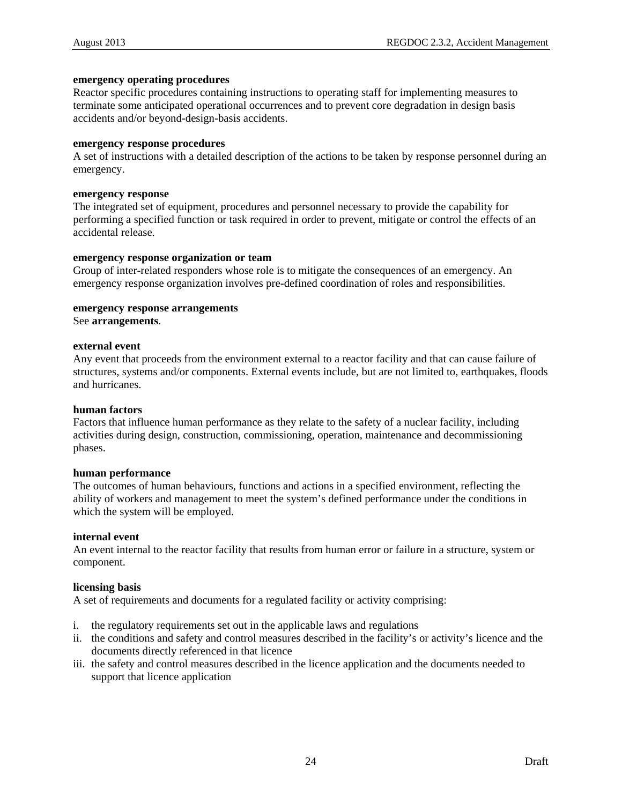#### **emergency operating procedures**

Reactor specific procedures containing instructions to operating staff for implementing measures to terminate some anticipated operational occurrences and to prevent core degradation in design basis accidents and/or beyond-design-basis accidents.

#### **emergency response procedures**

A set of instructions with a detailed description of the actions to be taken by response personnel during an emergency.

#### **emergency response**

The integrated set of equipment, procedures and personnel necessary to provide the capability for performing a specified function or task required in order to prevent, mitigate or control the effects of an accidental release.

#### **emergency response organization or team**

Group of inter-related responders whose role is to mitigate the consequences of an emergency. An emergency response organization involves pre-defined coordination of roles and responsibilities.

#### **emergency response arrangements**  See **arrangements**.

#### **external event**

Any event that proceeds from the environment external to a reactor facility and that can cause failure of structures, systems and/or components. External events include, but are not limited to, earthquakes, floods and hurricanes.

#### **human factors**

Factors that influence human performance as they relate to the safety of a nuclear facility, including activities during design, construction, commissioning, operation, maintenance and decommissioning phases.

#### **human performance**

The outcomes of human behaviours, functions and actions in a specified environment, reflecting the ability of workers and management to meet the system's defined performance under the conditions in which the system will be employed.

#### **internal event**

An event internal to the reactor facility that results from human error or failure in a structure, system or component.

#### **licensing basis**

A set of requirements and documents for a regulated facility or activity comprising:

- i. the regulatory requirements set out in the applicable laws and regulations
- ii. the conditions and safety and control measures described in the facility's or activity's licence and the documents directly referenced in that licence
- iii. the safety and control measures described in the licence application and the documents needed to support that licence application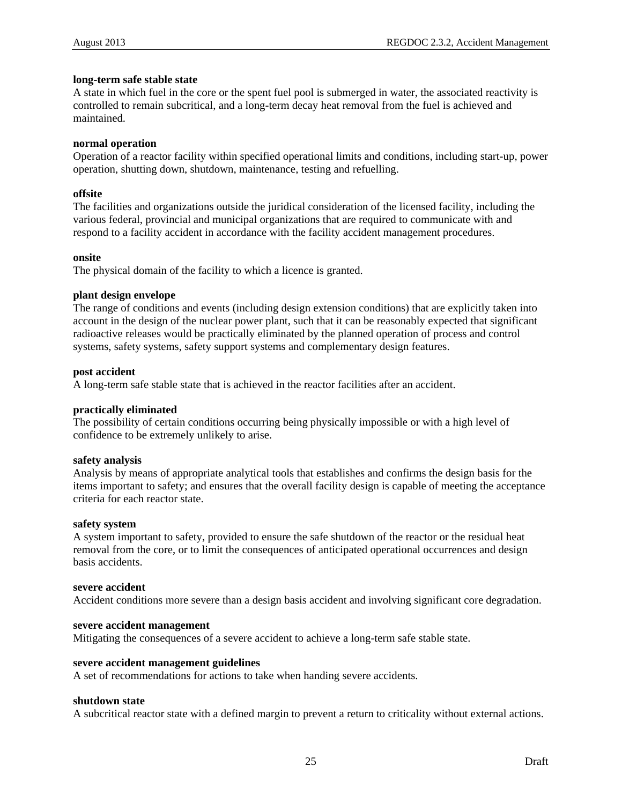#### **long-term safe stable state**

A state in which fuel in the core or the spent fuel pool is submerged in water, the associated reactivity is controlled to remain subcritical, and a long-term decay heat removal from the fuel is achieved and maintained.

#### **normal operation**

Operation of a reactor facility within specified operational limits and conditions, including start-up, power operation, shutting down, shutdown, maintenance, testing and refuelling.

#### **offsite**

The facilities and organizations outside the juridical consideration of the licensed facility, including the various federal, provincial and municipal organizations that are required to communicate with and respond to a facility accident in accordance with the facility accident management procedures.

#### **onsite**

The physical domain of the facility to which a licence is granted.

#### **plant design envelope**

The range of conditions and events (including design extension conditions) that are explicitly taken into account in the design of the nuclear power plant, such that it can be reasonably expected that significant radioactive releases would be practically eliminated by the planned operation of process and control systems, safety systems, safety support systems and complementary design features.

#### **post accident**

A long-term safe stable state that is achieved in the reactor facilities after an accident.

#### **practically eliminated**

The possibility of certain conditions occurring being physically impossible or with a high level of confidence to be extremely unlikely to arise.

#### **safety analysis**

Analysis by means of appropriate analytical tools that establishes and confirms the design basis for the items important to safety; and ensures that the overall facility design is capable of meeting the acceptance criteria for each reactor state.

#### **safety system**

A system important to safety, provided to ensure the safe shutdown of the reactor or the residual heat removal from the core, or to limit the consequences of anticipated operational occurrences and design basis accidents.

#### **severe accident**

Accident conditions more severe than a design basis accident and involving significant core degradation.

#### **severe accident management**

Mitigating the consequences of a severe accident to achieve a long-term safe stable state.

#### **severe accident management guidelines**

A set of recommendations for actions to take when handing severe accidents.

#### **shutdown state**

A subcritical reactor state with a defined margin to prevent a return to criticality without external actions.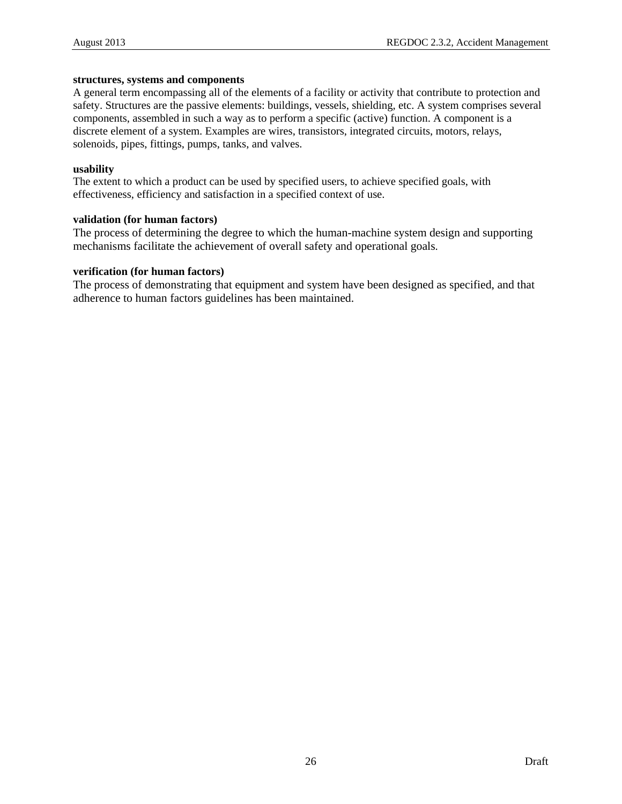#### **structures, systems and components**

A general term encompassing all of the elements of a facility or activity that contribute to protection and safety. Structures are the passive elements: buildings, vessels, shielding, etc. A system comprises several components, assembled in such a way as to perform a specific (active) function. A component is a discrete element of a system. Examples are wires, transistors, integrated circuits, motors, relays, solenoids, pipes, fittings, pumps, tanks, and valves.

#### **usability**

The extent to which a product can be used by specified users, to achieve specified goals, with effectiveness, efficiency and satisfaction in a specified context of use.

#### **validation (for human factors)**

The process of determining the degree to which the human-machine system design and supporting mechanisms facilitate the achievement of overall safety and operational goals.

#### **verification (for human factors)**

The process of demonstrating that equipment and system have been designed as specified, and that adherence to human factors guidelines has been maintained.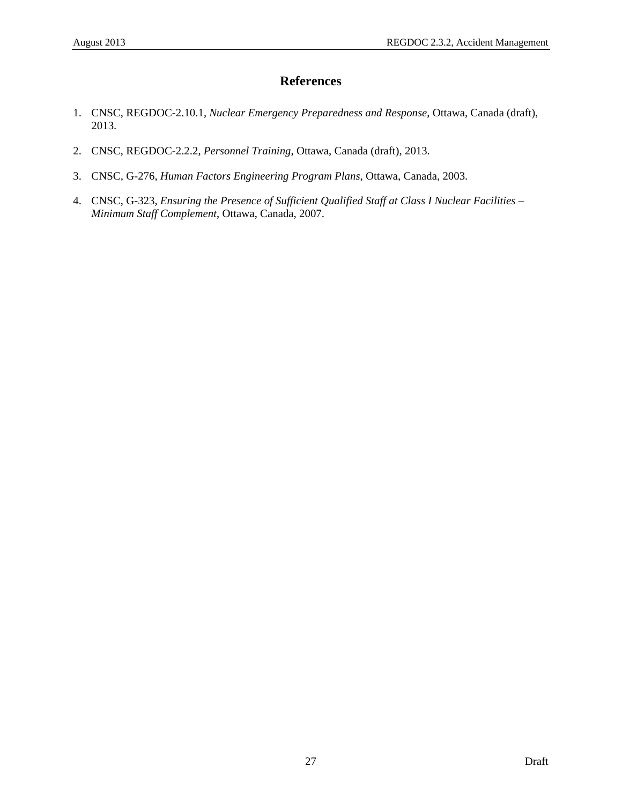# **References**

- <span id="page-32-0"></span>1. CNSC, REGDOC-2.10.1, *Nuclear Emergency Preparedness and Response*, Ottawa, Canada (draft), 2013.
- 2. CNSC, REGDOC-2.2.2, *Personnel Training*, Ottawa, Canada (draft), 2013.
- 3. CNSC, G-276, *Human Factors Engineering Program Plans*, Ottawa, Canada, 2003.
- 4. CNSC, G-323, *Ensuring the Presence of Sufficient Qualified Staff at Class I Nuclear Facilities Minimum Staff Complement*, Ottawa, Canada, 2007.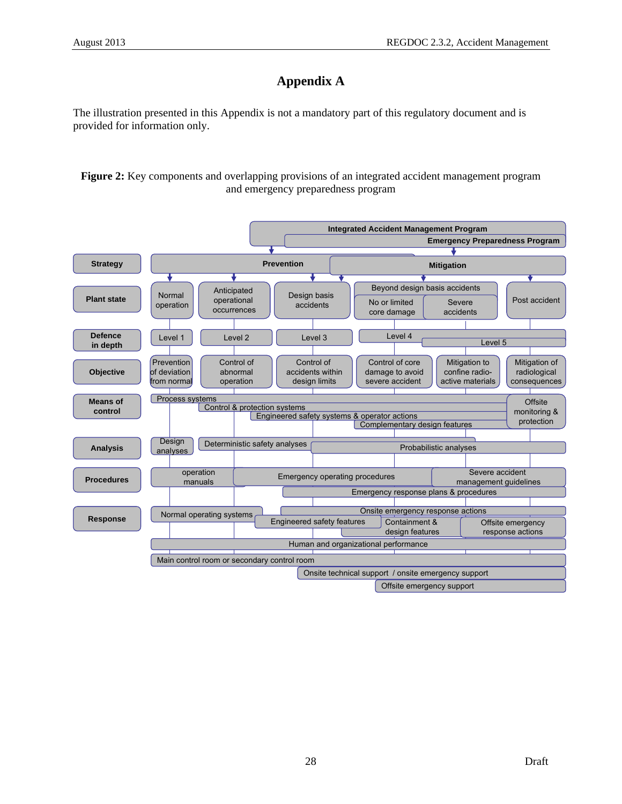# **Appendix A**

<span id="page-33-0"></span>The illustration presented in this Appendix is not a mandatory part of this regulatory document and is provided for information only.

### **Figure 2:** Key components and overlapping provisions of an integrated accident management program and emergency preparedness program